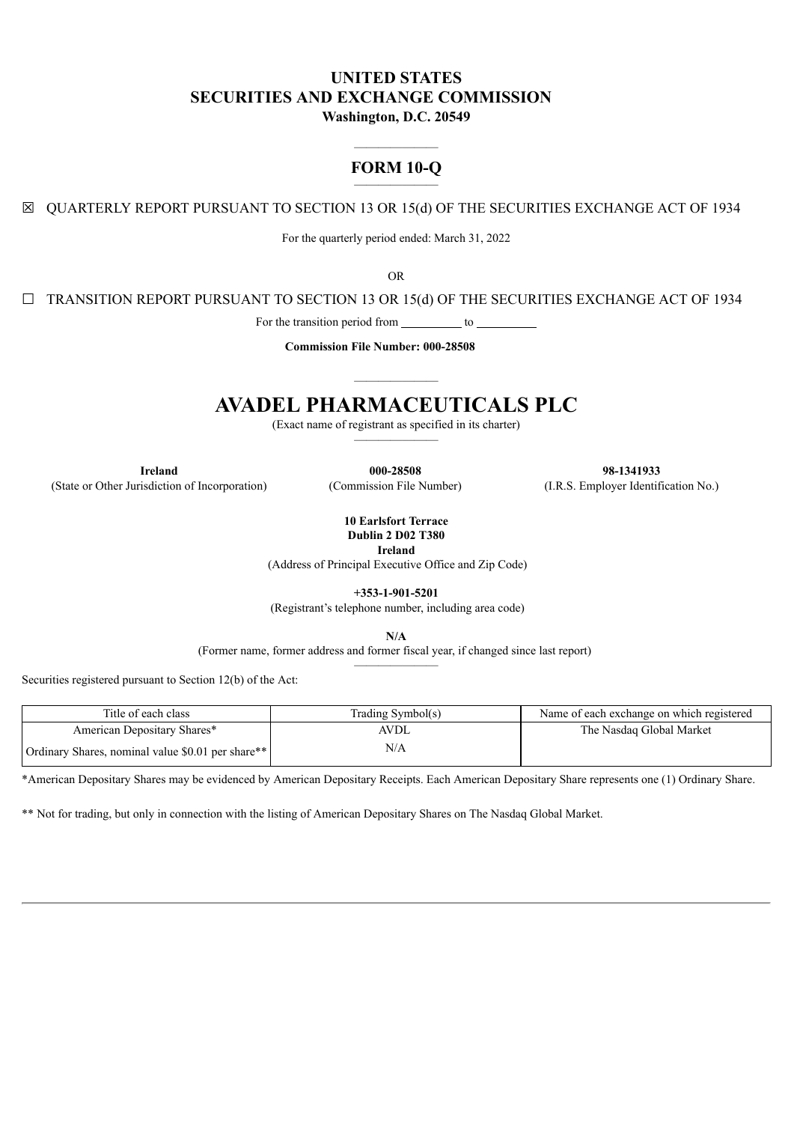# **UNITED STATES SECURITIES AND EXCHANGE COMMISSION**

**Washington, D.C. 20549**

## ——————— **FORM 10-Q** ———————

☒ QUARTERLY REPORT PURSUANT TO SECTION 13 OR 15(d) OF THE SECURITIES EXCHANGE ACT OF 1934

For the quarterly period ended: March 31, 2022

OR

☐ TRANSITION REPORT PURSUANT TO SECTION 13 OR 15(d) OF THE SECURITIES EXCHANGE ACT OF 1934

For the transition period from  $\qquad \qquad$  to

**Commission File Number: 000-28508**

# ——————— **AVADEL PHARMACEUTICALS PLC**

(Exact name of registrant as specified in its charter) ———————

(State or Other Jurisdiction of Incorporation) (Commission File Number) (I.R.S. Employer Identification No.)

**Ireland 000-28508 98-1341933**

**10 Earlsfort Terrace Dublin 2 D02 T380**

**Ireland**

(Address of Principal Executive Office and Zip Code)

**+353-1-901-5201**

(Registrant's telephone number, including area code)

**N/A**

(Former name, former address and former fiscal year, if changed since last report) ———————

Securities registered pursuant to Section 12(b) of the Act:

| Title of each class                               | Trading Symbol(s) | Name of each exchange on which registered |
|---------------------------------------------------|-------------------|-------------------------------------------|
| American Depositary Shares*                       | AVDL              | The Nasdaq Global Market                  |
| Ordinary Shares, nominal value \$0.01 per share** | N/A               |                                           |

\*American Depositary Shares may be evidenced by American Depositary Receipts. Each American Depositary Share represents one (1) Ordinary Share.

\*\* Not for trading, but only in connection with the listing of American Depositary Shares on The Nasdaq Global Market.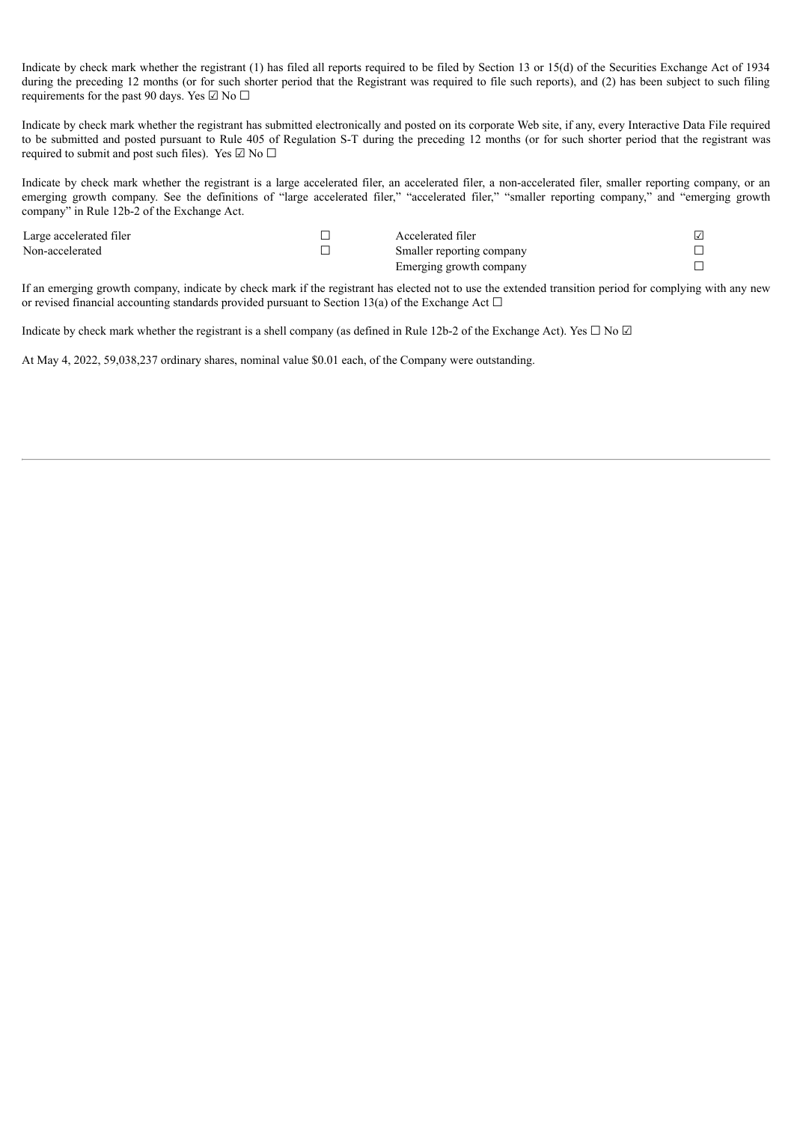Indicate by check mark whether the registrant (1) has filed all reports required to be filed by Section 13 or 15(d) of the Securities Exchange Act of 1934 during the preceding 12 months (or for such shorter period that the Registrant was required to file such reports), and (2) has been subject to such filing requirements for the past 90 days. Yes  $\Box$  No  $\Box$ 

Indicate by check mark whether the registrant has submitted electronically and posted on its corporate Web site, if any, every Interactive Data File required to be submitted and posted pursuant to Rule 405 of Regulation S-T during the preceding 12 months (or for such shorter period that the registrant was required to submit and post such files). Yes  $\boxdot$  No  $\Box$ 

Indicate by check mark whether the registrant is a large accelerated filer, an accelerated filer, a non-accelerated filer, smaller reporting company, or an emerging growth company. See the definitions of "large accelerated filer," "accelerated filer," "smaller reporting company," and "emerging growth company" in Rule 12b-2 of the Exchange Act.

| Large accelerated filer | Accelerated filer         |  |
|-------------------------|---------------------------|--|
| Non-accelerated         | Smaller reporting company |  |
|                         | Emerging growth company   |  |

If an emerging growth company, indicate by check mark if the registrant has elected not to use the extended transition period for complying with any new or revised financial accounting standards provided pursuant to Section 13(a) of the Exchange Act  $\Box$ 

Indicate by check mark whether the registrant is a shell company (as defined in Rule 12b-2 of the Exchange Act). Yes  $\Box$  No  $\Box$ 

At May 4, 2022, 59,038,237 ordinary shares, nominal value \$0.01 each, of the Company were outstanding.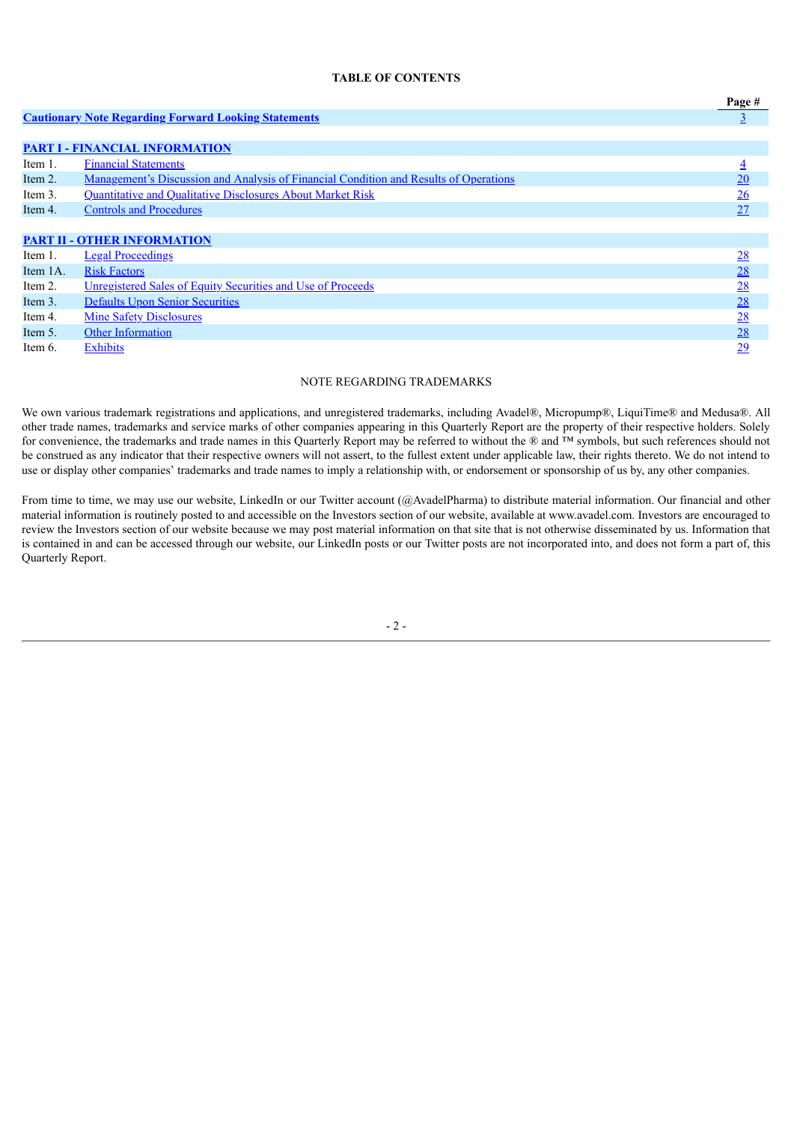### **TABLE OF CONTENTS**

|           |                                                                                              | Page #         |
|-----------|----------------------------------------------------------------------------------------------|----------------|
|           | <b>Cautionary Note Regarding Forward Looking Statements</b>                                  |                |
|           |                                                                                              |                |
|           | <b>PART I - FINANCIAL INFORMATION</b>                                                        |                |
| Item 1.   | <b>Financial Statements</b>                                                                  | $\overline{4}$ |
| Item 2.   | <u>Management's Discussion and Analysis of Financial Condition and Results of Operations</u> | 20             |
| Item 3.   | Quantitative and Qualitative Disclosures About Market Risk                                   | 26             |
| Item 4.   | <b>Controls and Procedures</b>                                                               | 27             |
|           |                                                                                              |                |
|           | <b>PART II - OTHER INFORMATION</b>                                                           |                |
| Item 1.   | <b>Legal Proceedings</b>                                                                     | 28             |
| Item 1A.  | <b>Risk Factors</b>                                                                          | 28             |
| Item 2.   | Unregistered Sales of Equity Securities and Use of Proceeds                                  | 28             |
| Item $3.$ | <b>Defaults Upon Senior Securities</b>                                                       | 28             |
| Item 4.   | <b>Mine Safety Disclosures</b>                                                               | 28             |
| Item 5.   | <b>Other Information</b>                                                                     | 28             |
| Item 6.   | <b>Exhibits</b>                                                                              | 29             |

#### NOTE REGARDING TRADEMARKS

We own various trademark registrations and applications, and unregistered trademarks, including Avadel®, Micropump®, LiquiTime® and Medusa®. All other trade names, trademarks and service marks of other companies appearing in this Quarterly Report are the property of their respective holders. Solely for convenience, the trademarks and trade names in this Quarterly Report may be referred to without the ® and ™ symbols, but such references should not be construed as any indicator that their respective owners will not assert, to the fullest extent under applicable law, their rights thereto. We do not intend to use or display other companies' trademarks and trade names to imply a relationship with, or endorsement or sponsorship of us by, any other companies.

<span id="page-2-0"></span>From time to time, we may use our website, LinkedIn or our Twitter account (@AvadelPharma) to distribute material information. Our financial and other material information is routinely posted to and accessible on the Investors section of our website, available at www.avadel.com. Investors are encouraged to review the Investors section of our website because we may post material information on that site that is not otherwise disseminated by us. Information that is contained in and can be accessed through our website, our LinkedIn posts or our Twitter posts are not incorporated into, and does not form a part of, this Quarterly Report.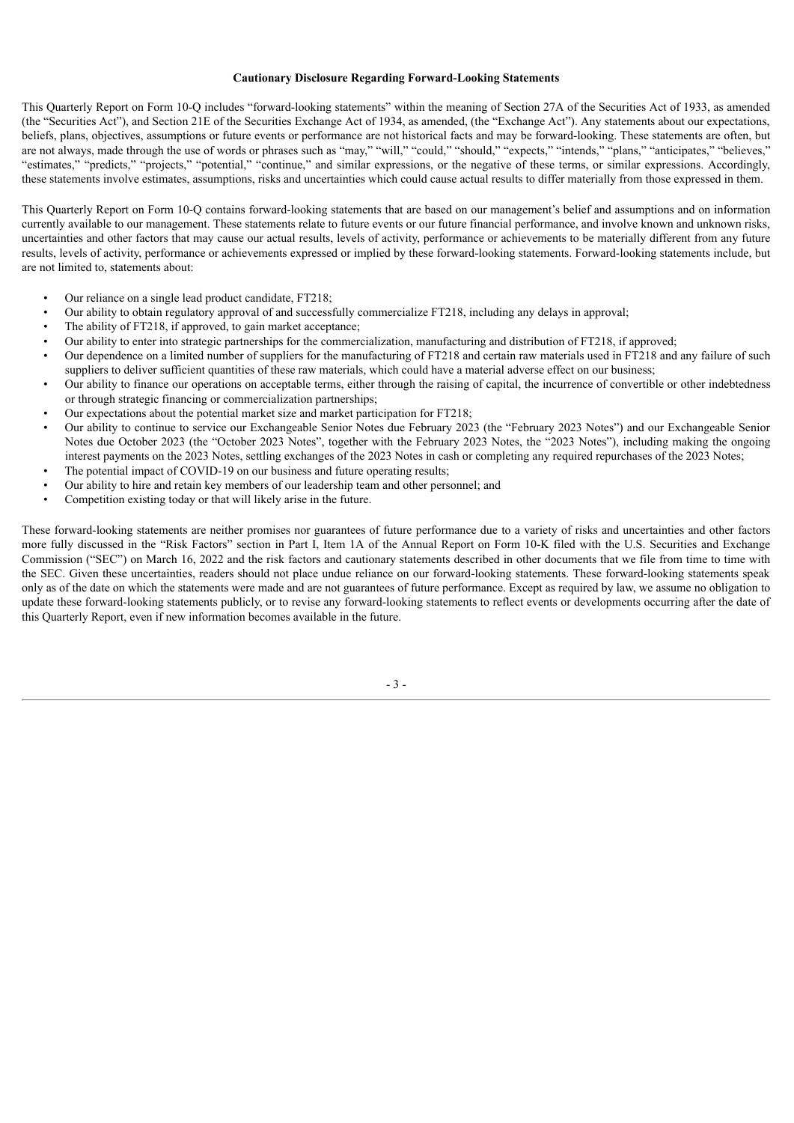#### **Cautionary Disclosure Regarding Forward-Looking Statements**

This Quarterly Report on Form 10-Q includes "forward-looking statements" within the meaning of Section 27A of the Securities Act of 1933, as amended (the "Securities Act"), and Section 21E of the Securities Exchange Act of 1934, as amended, (the "Exchange Act"). Any statements about our expectations, beliefs, plans, objectives, assumptions or future events or performance are not historical facts and may be forward-looking. These statements are often, but are not always, made through the use of words or phrases such as "may," "will," "could," "should," "expects," "intends," "plans," "anticipates," "believes," "estimates," "predicts," "projects," "potential," "continue," and similar expressions, or the negative of these terms, or similar expressions. Accordingly, these statements involve estimates, assumptions, risks and uncertainties which could cause actual results to differ materially from those expressed in them.

This Quarterly Report on Form 10-Q contains forward-looking statements that are based on our management's belief and assumptions and on information currently available to our management. These statements relate to future events or our future financial performance, and involve known and unknown risks, uncertainties and other factors that may cause our actual results, levels of activity, performance or achievements to be materially different from any future results, levels of activity, performance or achievements expressed or implied by these forward-looking statements. Forward-looking statements include, but are not limited to, statements about:

- Our reliance on a single lead product candidate, FT218;
- Our ability to obtain regulatory approval of and successfully commercialize FT218, including any delays in approval;
- The ability of FT218, if approved, to gain market acceptance;
- Our ability to enter into strategic partnerships for the commercialization, manufacturing and distribution of FT218, if approved;
- Our dependence on a limited number of suppliers for the manufacturing of FT218 and certain raw materials used in FT218 and any failure of such suppliers to deliver sufficient quantities of these raw materials, which could have a material adverse effect on our business;
- Our ability to finance our operations on acceptable terms, either through the raising of capital, the incurrence of convertible or other indebtedness or through strategic financing or commercialization partnerships;
- Our expectations about the potential market size and market participation for FT218;
- Our ability to continue to service our Exchangeable Senior Notes due February 2023 (the "February 2023 Notes") and our Exchangeable Senior Notes due October 2023 (the "October 2023 Notes", together with the February 2023 Notes, the "2023 Notes"), including making the ongoing interest payments on the 2023 Notes, settling exchanges of the 2023 Notes in cash or completing any required repurchases of the 2023 Notes;
- The potential impact of COVID-19 on our business and future operating results;
- Our ability to hire and retain key members of our leadership team and other personnel; and
- Competition existing today or that will likely arise in the future.

<span id="page-3-0"></span>These forward-looking statements are neither promises nor guarantees of future performance due to a variety of risks and uncertainties and other factors more fully discussed in the "Risk Factors" section in Part I, Item 1A of the Annual Report on Form 10-K filed with the U.S. Securities and Exchange Commission ("SEC") on March 16, 2022 and the risk factors and cautionary statements described in other documents that we file from time to time with the SEC. Given these uncertainties, readers should not place undue reliance on our forward-looking statements. These forward-looking statements speak only as of the date on which the statements were made and are not guarantees of future performance. Except as required by law, we assume no obligation to update these forward-looking statements publicly, or to revise any forward-looking statements to reflect events or developments occurring after the date of this Quarterly Report, even if new information becomes available in the future.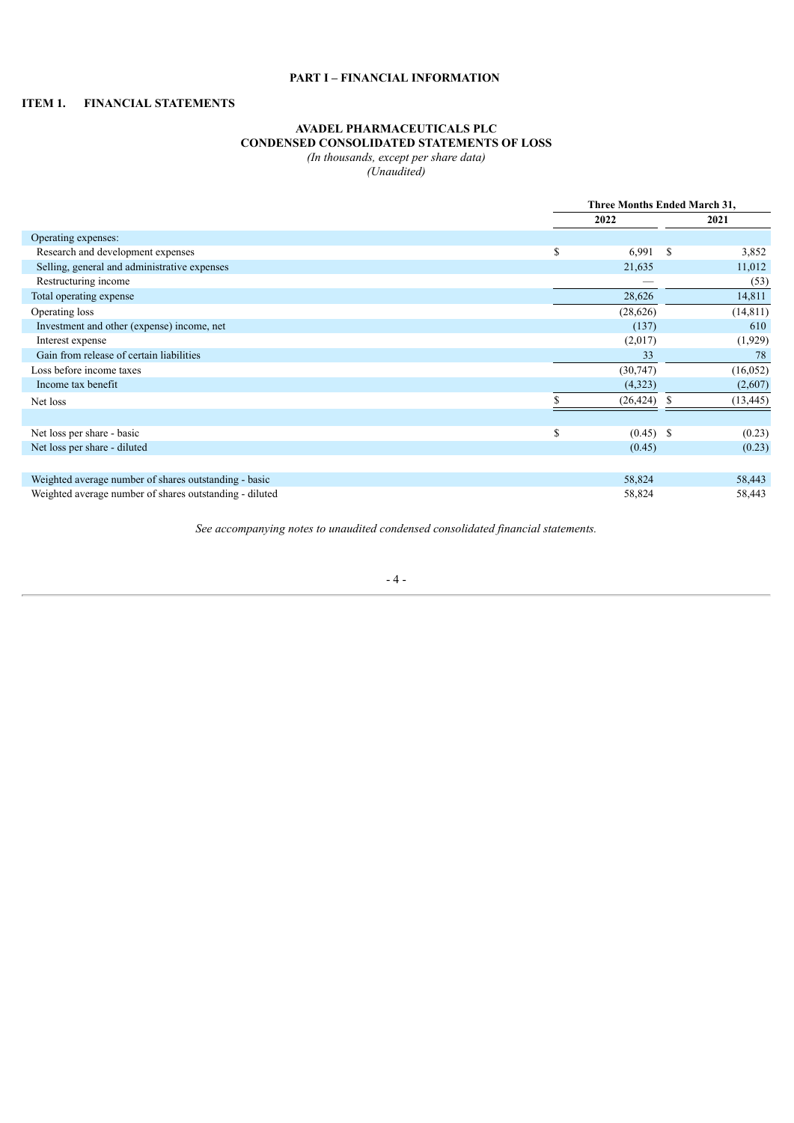### **PART I – FINANCIAL INFORMATION**

### <span id="page-4-0"></span>**ITEM 1. FINANCIAL STATEMENTS**

### **AVADEL PHARMACEUTICALS PLC CONDENSED CONSOLIDATED STATEMENTS OF LOSS**

*(In thousands, except per share data)*

*(Unaudited)*

|                                                         | Three Months Ended March 31, |           |  |  |  |
|---------------------------------------------------------|------------------------------|-----------|--|--|--|
|                                                         | 2022                         | 2021      |  |  |  |
| Operating expenses:                                     |                              |           |  |  |  |
| Research and development expenses                       | \$<br>$6,991$ \$             | 3,852     |  |  |  |
| Selling, general and administrative expenses            | 21,635                       | 11,012    |  |  |  |
| Restructuring income                                    |                              | (53)      |  |  |  |
| Total operating expense                                 | 28,626                       | 14,811    |  |  |  |
| Operating loss                                          | (28,626)                     | (14, 811) |  |  |  |
| Investment and other (expense) income, net              | (137)                        | 610       |  |  |  |
| Interest expense                                        | (2,017)                      | (1,929)   |  |  |  |
| Gain from release of certain liabilities                | 33                           | 78        |  |  |  |
| Loss before income taxes                                | (30, 747)                    | (16, 052) |  |  |  |
| Income tax benefit                                      | (4,323)                      | (2,607)   |  |  |  |
| Net loss                                                | (26, 424)                    | (13, 445) |  |  |  |
|                                                         |                              |           |  |  |  |
| Net loss per share - basic                              | \$<br>$(0.45)$ \$            | (0.23)    |  |  |  |
| Net loss per share - diluted                            | (0.45)                       | (0.23)    |  |  |  |
|                                                         |                              |           |  |  |  |
| Weighted average number of shares outstanding - basic   | 58,824                       | 58,443    |  |  |  |
| Weighted average number of shares outstanding - diluted | 58,824                       | 58,443    |  |  |  |

*See accompanying notes to unaudited condensed consolidated financial statements.*

- 4 -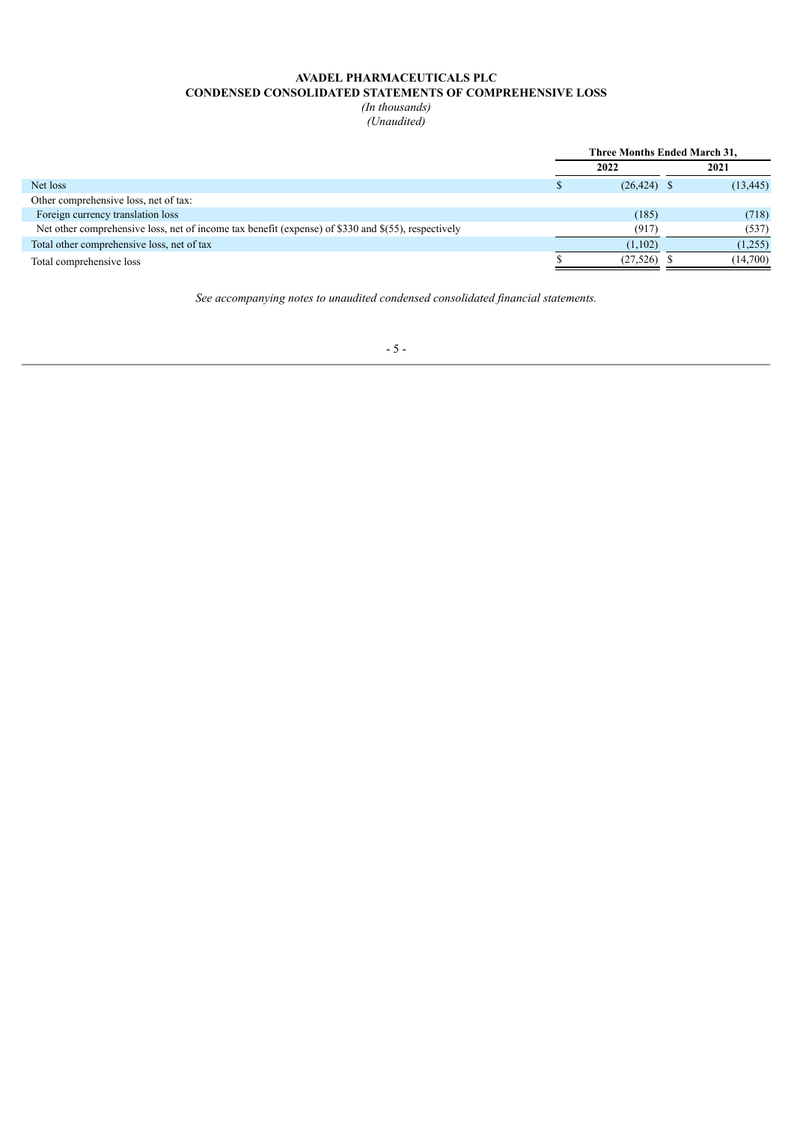### **AVADEL PHARMACEUTICALS PLC CONDENSED CONSOLIDATED STATEMENTS OF COMPREHENSIVE LOSS**

*(In thousands) (Unaudited)*

|                                                                                                     | Three Months Ended March 31, |           |  |  |  |  |  |
|-----------------------------------------------------------------------------------------------------|------------------------------|-----------|--|--|--|--|--|
|                                                                                                     | 2022                         | 2021      |  |  |  |  |  |
| Net loss                                                                                            | $(26, 424)$ \$               | (13, 445) |  |  |  |  |  |
| Other comprehensive loss, net of tax:                                                               |                              |           |  |  |  |  |  |
| Foreign currency translation loss                                                                   | (185)                        | (718)     |  |  |  |  |  |
| Net other comprehensive loss, net of income tax benefit (expense) of \$330 and \$(55), respectively | (917)                        | (537)     |  |  |  |  |  |
| Total other comprehensive loss, net of tax                                                          | (1,102)                      | (1,255)   |  |  |  |  |  |
| Total comprehensive loss                                                                            | $(27,526)$ \$                | (14,700)  |  |  |  |  |  |

*See accompanying notes to unaudited condensed consolidated financial statements.*

### - 5 -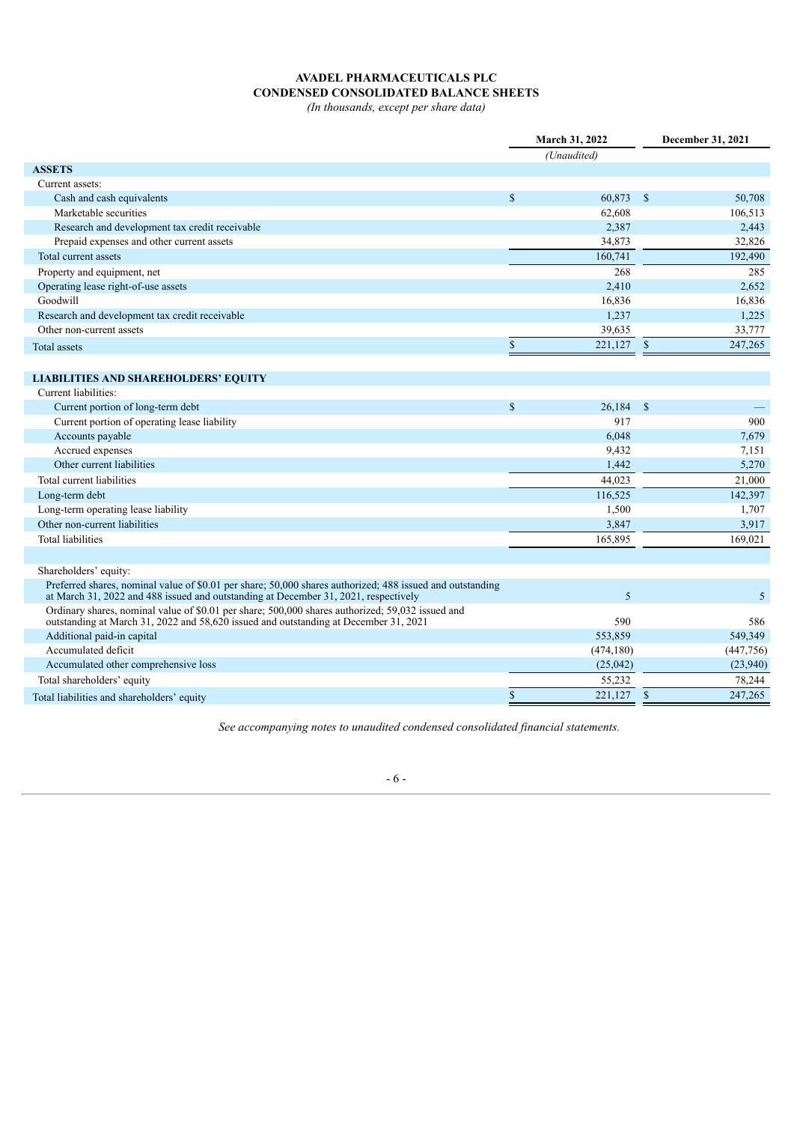# **AVADEL PHARMACEUTICALS PLC CONDENSED CONSOLIDATED BALANCE SHEETS**

*(In thousands, except per share data)*

|                                                                                                                                                                                                  | March 31, 2022 |             |               | December 31, 2021 |
|--------------------------------------------------------------------------------------------------------------------------------------------------------------------------------------------------|----------------|-------------|---------------|-------------------|
|                                                                                                                                                                                                  |                | (Unaudited) |               |                   |
| <b>ASSETS</b>                                                                                                                                                                                    |                |             |               |                   |
| Current assets:                                                                                                                                                                                  |                |             |               |                   |
| Cash and cash equivalents                                                                                                                                                                        | $\mathbb{S}$   | 60,873      | $\mathbb{S}$  | 50,708            |
| Marketable securities                                                                                                                                                                            |                | 62,608      |               | 106,513           |
| Research and development tax credit receivable                                                                                                                                                   |                | 2,387       |               | 2,443             |
| Prepaid expenses and other current assets                                                                                                                                                        |                | 34,873      |               | 32,826            |
| Total current assets                                                                                                                                                                             |                | 160,741     |               | 192,490           |
| Property and equipment, net                                                                                                                                                                      |                | 268         |               | 285               |
| Operating lease right-of-use assets                                                                                                                                                              |                | 2,410       |               | 2,652             |
| Goodwill                                                                                                                                                                                         |                | 16,836      |               | 16,836            |
| Research and development tax credit receivable                                                                                                                                                   |                | 1,237       |               | 1,225             |
| Other non-current assets                                                                                                                                                                         |                | 39,635      |               | 33,777            |
| Total assets                                                                                                                                                                                     | $\mathbb{S}$   | 221,127     | $\mathcal{S}$ | 247,265           |
|                                                                                                                                                                                                  |                |             |               |                   |
| <b>LIABILITIES AND SHAREHOLDERS' EQUITY</b>                                                                                                                                                      |                |             |               |                   |
| Current liabilities:                                                                                                                                                                             |                |             |               |                   |
| Current portion of long-term debt                                                                                                                                                                | $\mathbb{S}$   | $26,184$ \$ |               |                   |
| Current portion of operating lease liability                                                                                                                                                     |                | 917         |               | 900               |
| Accounts payable                                                                                                                                                                                 |                | 6,048       |               | 7,679             |
| Accrued expenses                                                                                                                                                                                 |                | 9,432       |               | 7,151             |
| Other current liabilities                                                                                                                                                                        |                | 1,442       |               | 5,270             |
| Total current liabilities                                                                                                                                                                        |                | 44,023      |               | 21,000            |
| Long-term debt                                                                                                                                                                                   |                | 116.525     |               | 142,397           |
| Long-term operating lease liability                                                                                                                                                              |                | 1,500       |               | 1,707             |
| Other non-current liabilities                                                                                                                                                                    |                | 3,847       |               | 3,917             |
| <b>Total liabilities</b>                                                                                                                                                                         |                | 165,895     |               | 169,021           |
| Shareholders' equity:                                                                                                                                                                            |                |             |               |                   |
| Preferred shares, nominal value of \$0.01 per share; 50,000 shares authorized; 488 issued and outstanding<br>at March 31, 2022 and 488 issued and outstanding at December 31, 2021, respectively |                | 5           |               | 5                 |
| Ordinary shares, nominal value of \$0.01 per share; 500,000 shares authorized; 59,032 issued and<br>outstanding at March 31, 2022 and 58,620 issued and outstanding at December 31, 2021         |                | 590         |               | 586               |
| Additional paid-in capital                                                                                                                                                                       |                | 553,859     |               | 549,349           |
| Accumulated deficit                                                                                                                                                                              |                | (474, 180)  |               | (447,756)         |
| Accumulated other comprehensive loss                                                                                                                                                             |                | (25, 042)   |               | (23,940)          |
| Total shareholders' equity                                                                                                                                                                       |                | 55,232      |               | 78,244            |
| Total liabilities and shareholders' equity                                                                                                                                                       | $\mathbb{S}$   | 221,127     | $\mathsf{\$}$ | 247,265           |

*See accompanying notes to unaudited condensed consolidated financial statements.*

- 6 -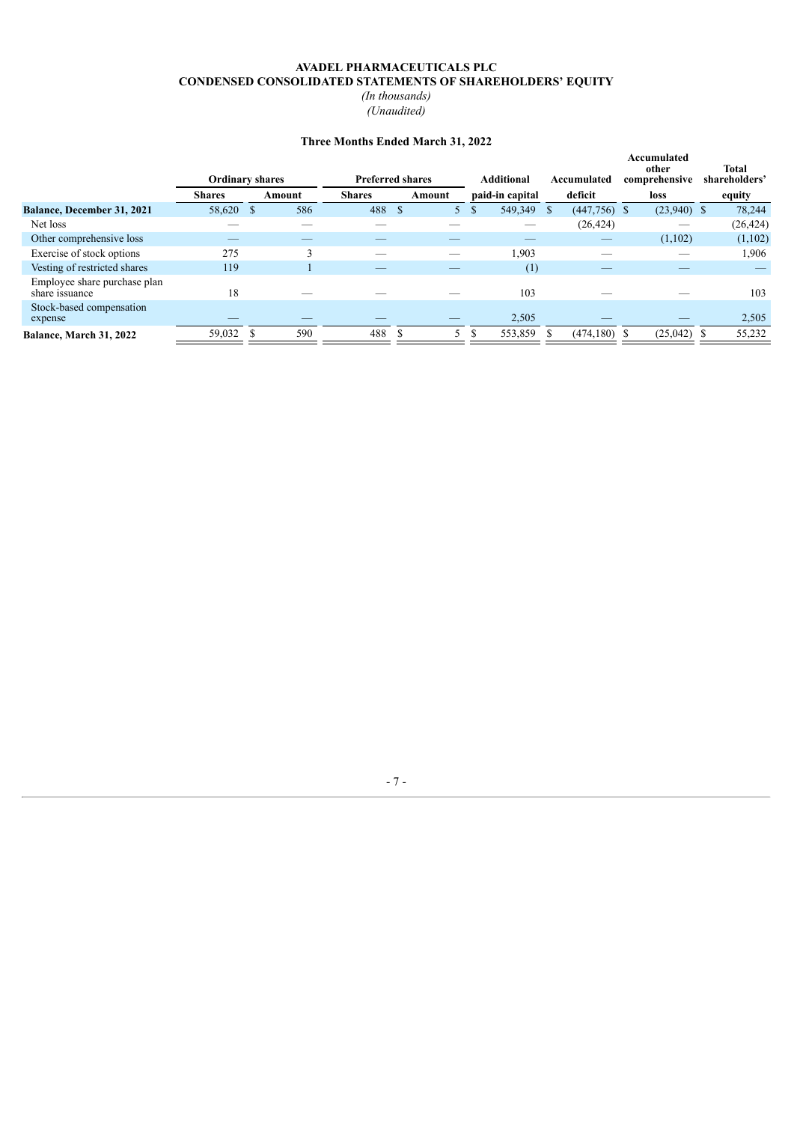### **AVADEL PHARMACEUTICALS PLC CONDENSED CONSOLIDATED STATEMENTS OF SHAREHOLDERS' EQUITY** *(In thousands)*

*(Unaudited)*

# **Three Months Ended March 31, 2022**

|                                                |               | <b>Ordinary shares</b> |               | <b>Preferred shares</b> |               | <b>Additional</b> | Accumulated     | Accumulated<br>other<br>comprehensive | <b>Total</b><br>shareholders' |
|------------------------------------------------|---------------|------------------------|---------------|-------------------------|---------------|-------------------|-----------------|---------------------------------------|-------------------------------|
|                                                | <b>Shares</b> | Amount                 | <b>Shares</b> | Amount                  |               | paid-in capital   | deficit         | loss                                  | equity                        |
| <b>Balance, December 31, 2021</b>              | 58,620        | 586<br>S               | 488           |                         | <sup>\$</sup> | 549,349 \$        | $(447,756)$ \$  | $(23,940)$ \$                         | 78,244                        |
| Net loss                                       |               |                        |               |                         |               |                   | (26, 424)       |                                       | (26, 424)                     |
| Other comprehensive loss                       | _             |                        |               |                         |               |                   |                 | (1,102)                               | (1,102)                       |
| Exercise of stock options                      | 275           |                        |               |                         |               | 1,903             |                 |                                       | 1,906                         |
| Vesting of restricted shares                   | 119           |                        |               |                         |               | (1)               |                 |                                       |                               |
| Employee share purchase plan<br>share issuance | 18            |                        |               |                         |               | 103               |                 |                                       | 103                           |
| Stock-based compensation<br>expense            |               |                        |               |                         |               | 2,505             |                 |                                       | 2,505                         |
| Balance, March 31, 2022                        | 59,032        | 590                    | 488           |                         |               | 553,859           | $(474, 180)$ \$ | (25,042)                              | 55,232                        |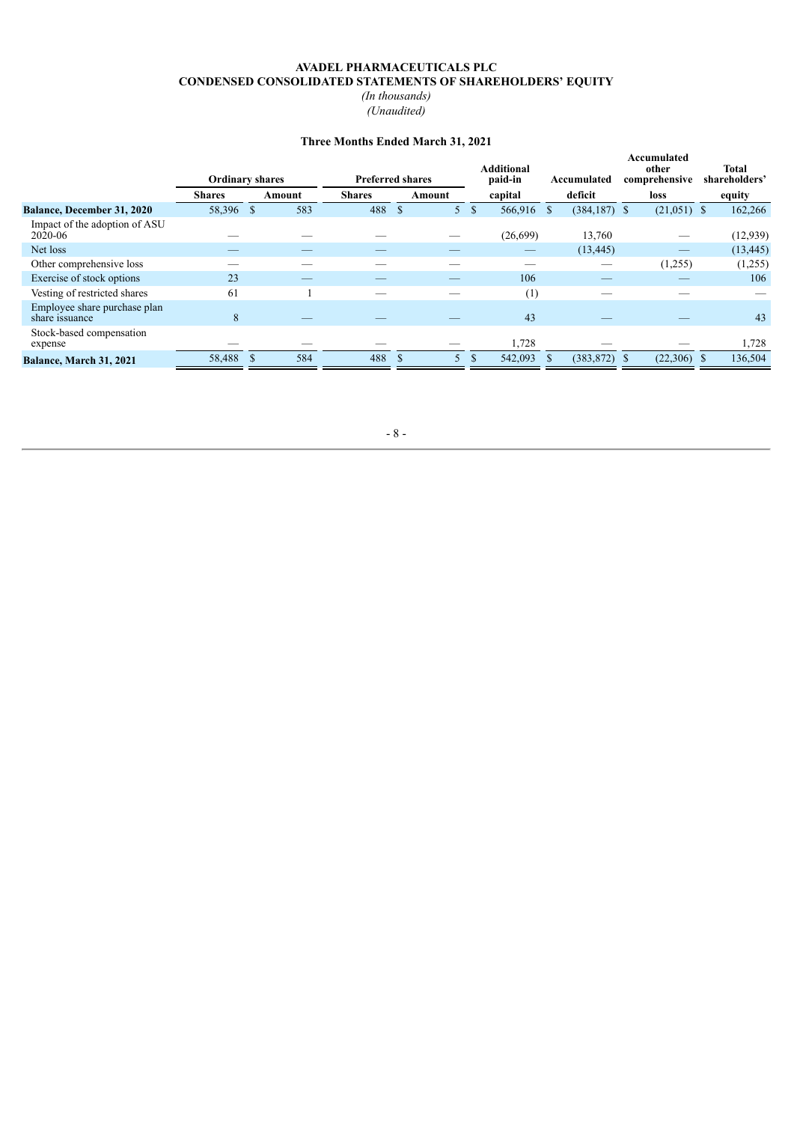# **AVADEL PHARMACEUTICALS PLC CONDENSED CONSOLIDATED STATEMENTS OF SHAREHOLDERS' EQUITY**

*(In thousands) (Unaudited)*

### **Three Months Ended March 31, 2021**

|                                                |               | <b>Ordinary shares</b> |               | <b>Preferred shares</b> |                      |            | Accumulated                    | Accumulated<br>other<br>comprehensive | <b>Total</b><br>shareholders' |
|------------------------------------------------|---------------|------------------------|---------------|-------------------------|----------------------|------------|--------------------------------|---------------------------------------|-------------------------------|
|                                                | <b>Shares</b> | Amount                 | <b>Shares</b> | Amount                  |                      | capital    | deficit                        | loss                                  | equity                        |
| <b>Balance, December 31, 2020</b>              | 58,396        | <sup>\$</sup>          | 583<br>488    |                         | -S<br>5 <sup>1</sup> | 566,916 \$ | $(384, 187)$ \$                | $(21,051)$ \$                         | 162,266                       |
| Impact of the adoption of ASU<br>2020-06       |               |                        |               |                         |                      | (26,699)   | 13,760                         |                                       | (12,939)                      |
| Net loss                                       |               |                        |               |                         |                      |            | (13, 445)                      |                                       | (13, 445)                     |
| Other comprehensive loss                       |               |                        |               |                         |                      |            | $\overbrace{\hspace{25mm}}^{}$ | (1,255)                               | (1,255)                       |
| Exercise of stock options                      | 23            |                        |               |                         |                      | 106        |                                |                                       | 106                           |
| Vesting of restricted shares                   | 61            |                        |               |                         |                      | (1)        |                                |                                       |                               |
| Employee share purchase plan<br>share issuance | 8             |                        |               |                         |                      | 43         |                                |                                       | 43                            |
| Stock-based compensation<br>expense            |               |                        |               |                         |                      | 1,728      |                                |                                       | 1,728                         |
| <b>Balance, March 31, 2021</b>                 | 58,488        | <sup>\$</sup>          | 584<br>488    |                         |                      | 542,093    | (383, 872)                     | $(22,306)$ \$                         | 136,504                       |

- 8 -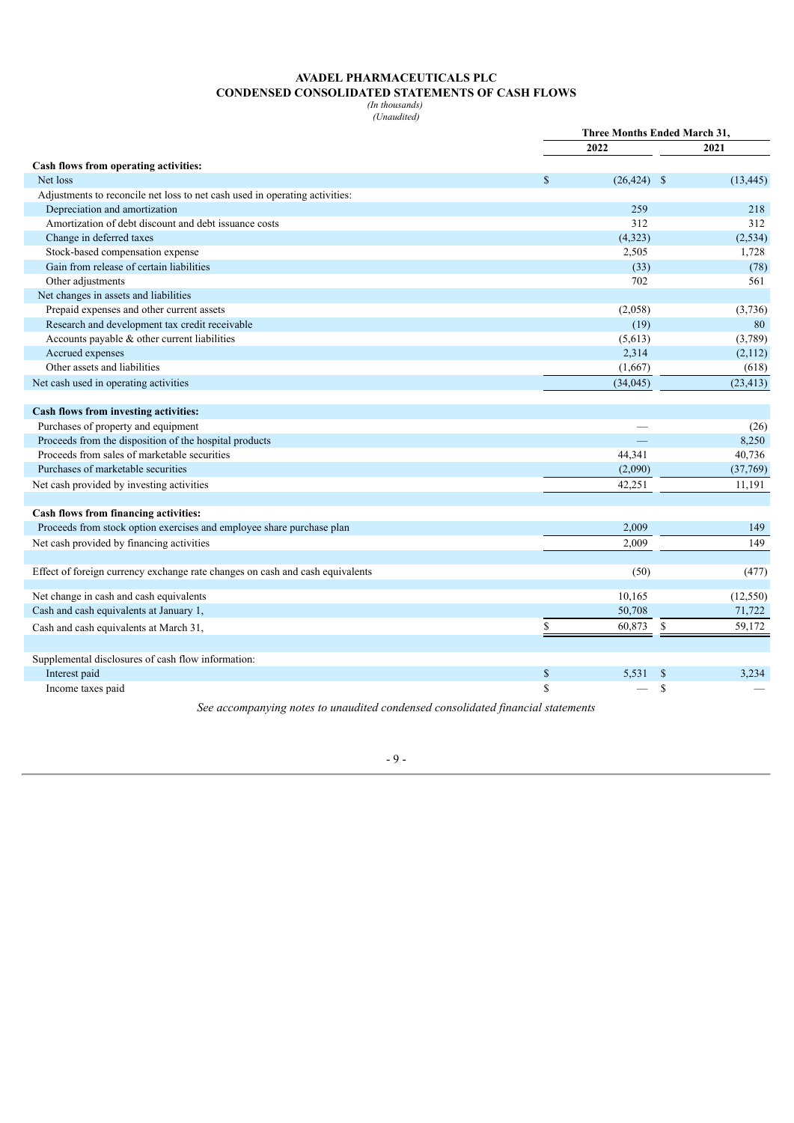### **AVADEL PHARMACEUTICALS PLC CONDENSED CONSOLIDATED STATEMENTS OF CASH FLOWS**

*(In thousands) (Unaudited)*

|                                                                               |              | <b>Three Months Ended March 31,</b> |              |           |  |  |  |
|-------------------------------------------------------------------------------|--------------|-------------------------------------|--------------|-----------|--|--|--|
|                                                                               |              | 2022                                |              | 2021      |  |  |  |
| Cash flows from operating activities:                                         |              |                                     |              |           |  |  |  |
| Net loss                                                                      | $\mathbf{s}$ | $(26, 424)$ \$                      |              | (13, 445) |  |  |  |
| Adjustments to reconcile net loss to net cash used in operating activities:   |              |                                     |              |           |  |  |  |
| Depreciation and amortization                                                 |              | 259                                 |              | 218       |  |  |  |
| Amortization of debt discount and debt issuance costs                         |              | 312                                 |              | 312       |  |  |  |
| Change in deferred taxes                                                      |              | (4,323)                             |              | (2,534)   |  |  |  |
| Stock-based compensation expense                                              |              | 2,505                               |              | 1,728     |  |  |  |
| Gain from release of certain liabilities                                      |              | (33)                                |              | (78)      |  |  |  |
| Other adjustments                                                             |              | 702                                 |              | 561       |  |  |  |
| Net changes in assets and liabilities                                         |              |                                     |              |           |  |  |  |
| Prepaid expenses and other current assets                                     |              | (2,058)                             |              | (3,736)   |  |  |  |
| Research and development tax credit receivable                                |              | (19)                                |              | 80        |  |  |  |
| Accounts payable & other current liabilities                                  |              | (5,613)                             |              | (3,789)   |  |  |  |
| Accrued expenses                                                              |              | 2,314                               |              | (2,112)   |  |  |  |
| Other assets and liabilities                                                  |              | (1,667)                             |              | (618)     |  |  |  |
| Net cash used in operating activities                                         |              | (34, 045)                           |              | (23, 413) |  |  |  |
|                                                                               |              |                                     |              |           |  |  |  |
| Cash flows from investing activities:                                         |              |                                     |              |           |  |  |  |
| Purchases of property and equipment                                           |              |                                     |              | (26)      |  |  |  |
| Proceeds from the disposition of the hospital products                        |              |                                     |              | 8,250     |  |  |  |
| Proceeds from sales of marketable securities                                  |              | 44,341                              |              | 40,736    |  |  |  |
| Purchases of marketable securities                                            |              | (2,090)                             |              | (37,769)  |  |  |  |
| Net cash provided by investing activities                                     |              | 42,251                              |              | 11,191    |  |  |  |
|                                                                               |              |                                     |              |           |  |  |  |
| Cash flows from financing activities:                                         |              |                                     |              |           |  |  |  |
| Proceeds from stock option exercises and employee share purchase plan         |              | 2,009                               |              | 149       |  |  |  |
| Net cash provided by financing activities                                     |              | 2,009                               |              | 149       |  |  |  |
|                                                                               |              |                                     |              |           |  |  |  |
| Effect of foreign currency exchange rate changes on cash and cash equivalents |              | (50)                                |              | (477)     |  |  |  |
| Net change in cash and cash equivalents                                       |              | 10,165                              |              | (12, 550) |  |  |  |
| Cash and cash equivalents at January 1,                                       |              | 50,708                              |              | 71,722    |  |  |  |
| Cash and cash equivalents at March 31,                                        | \$           | 60,873                              | \$           | 59,172    |  |  |  |
|                                                                               |              |                                     |              |           |  |  |  |
| Supplemental disclosures of cash flow information:                            |              |                                     |              |           |  |  |  |
| Interest paid                                                                 | $\mathbb{S}$ | 5,531                               | $\mathbb{S}$ | 3,234     |  |  |  |
| Income taxes paid                                                             | \$           |                                     | \$           |           |  |  |  |

*See accompanying notes to unaudited condensed consolidated financial statements*

- 9 -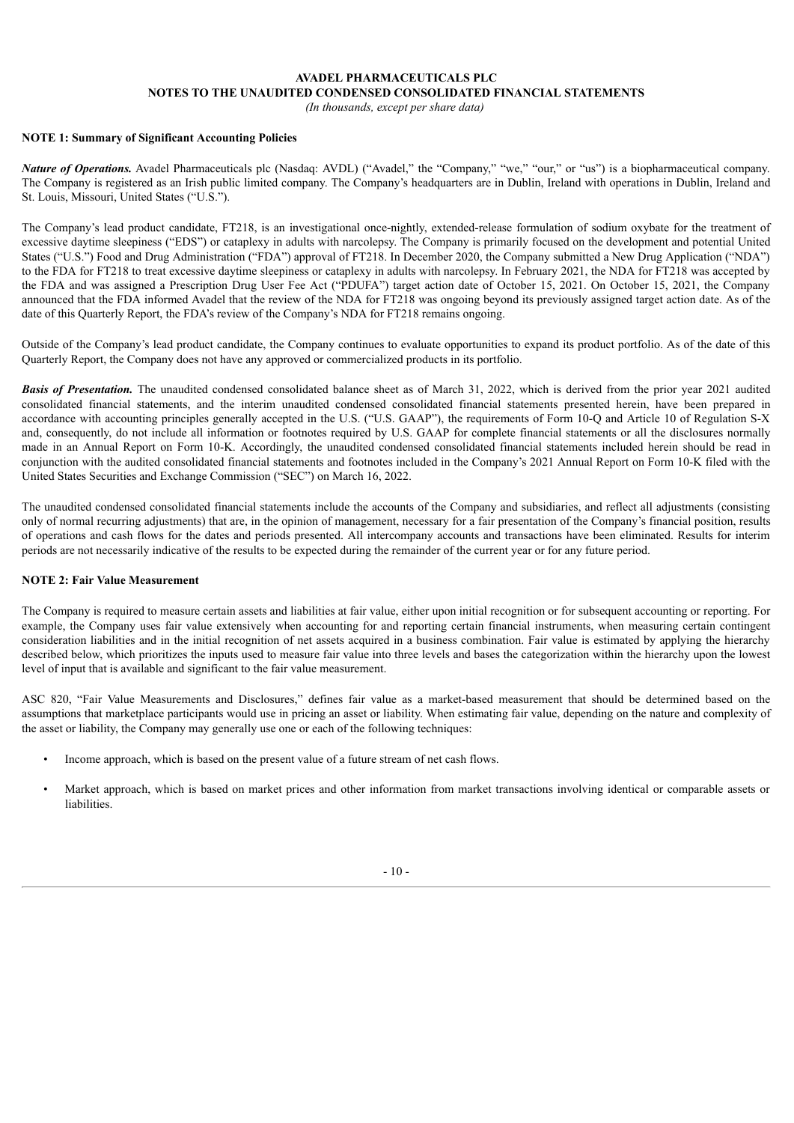#### **AVADEL PHARMACEUTICALS PLC NOTES TO THE UNAUDITED CONDENSED CONSOLIDATED FINANCIAL STATEMENTS**

*(In thousands, except per share data)*

### **NOTE 1: Summary of Significant Accounting Policies**

*Nature of Operations.* Avadel Pharmaceuticals plc (Nasdaq: AVDL) ("Avadel," the "Company," "we," "our," or "us") is a biopharmaceutical company. The Company is registered as an Irish public limited company. The Company's headquarters are in Dublin, Ireland with operations in Dublin, Ireland and St. Louis, Missouri, United States ("U.S.").

The Company's lead product candidate, FT218, is an investigational once-nightly, extended-release formulation of sodium oxybate for the treatment of excessive daytime sleepiness ("EDS") or cataplexy in adults with narcolepsy. The Company is primarily focused on the development and potential United States ("U.S.") Food and Drug Administration ("FDA") approval of FT218. In December 2020, the Company submitted a New Drug Application ("NDA") to the FDA for FT218 to treat excessive daytime sleepiness or cataplexy in adults with narcolepsy. In February 2021, the NDA for FT218 was accepted by the FDA and was assigned a Prescription Drug User Fee Act ("PDUFA") target action date of October 15, 2021. On October 15, 2021, the Company announced that the FDA informed Avadel that the review of the NDA for FT218 was ongoing beyond its previously assigned target action date. As of the date of this Quarterly Report, the FDA's review of the Company's NDA for FT218 remains ongoing.

Outside of the Company's lead product candidate, the Company continues to evaluate opportunities to expand its product portfolio. As of the date of this Quarterly Report, the Company does not have any approved or commercialized products in its portfolio.

*Basis of Presentation.* The unaudited condensed consolidated balance sheet as of March 31, 2022, which is derived from the prior year 2021 audited consolidated financial statements, and the interim unaudited condensed consolidated financial statements presented herein, have been prepared in accordance with accounting principles generally accepted in the U.S. ("U.S. GAAP"), the requirements of Form 10-Q and Article 10 of Regulation S-X and, consequently, do not include all information or footnotes required by U.S. GAAP for complete financial statements or all the disclosures normally made in an Annual Report on Form 10-K. Accordingly, the unaudited condensed consolidated financial statements included herein should be read in conjunction with the audited consolidated financial statements and footnotes included in the Company's 2021 Annual Report on Form 10-K filed with the United States Securities and Exchange Commission ("SEC") on March 16, 2022.

The unaudited condensed consolidated financial statements include the accounts of the Company and subsidiaries, and reflect all adjustments (consisting only of normal recurring adjustments) that are, in the opinion of management, necessary for a fair presentation of the Company's financial position, results of operations and cash flows for the dates and periods presented. All intercompany accounts and transactions have been eliminated. Results for interim periods are not necessarily indicative of the results to be expected during the remainder of the current year or for any future period.

### **NOTE 2: Fair Value Measurement**

The Company is required to measure certain assets and liabilities at fair value, either upon initial recognition or for subsequent accounting or reporting. For example, the Company uses fair value extensively when accounting for and reporting certain financial instruments, when measuring certain contingent consideration liabilities and in the initial recognition of net assets acquired in a business combination. Fair value is estimated by applying the hierarchy described below, which prioritizes the inputs used to measure fair value into three levels and bases the categorization within the hierarchy upon the lowest level of input that is available and significant to the fair value measurement.

ASC 820, "Fair Value Measurements and Disclosures," defines fair value as a market-based measurement that should be determined based on the assumptions that marketplace participants would use in pricing an asset or liability. When estimating fair value, depending on the nature and complexity of the asset or liability, the Company may generally use one or each of the following techniques:

- Income approach, which is based on the present value of a future stream of net cash flows.
- Market approach, which is based on market prices and other information from market transactions involving identical or comparable assets or liabilities.

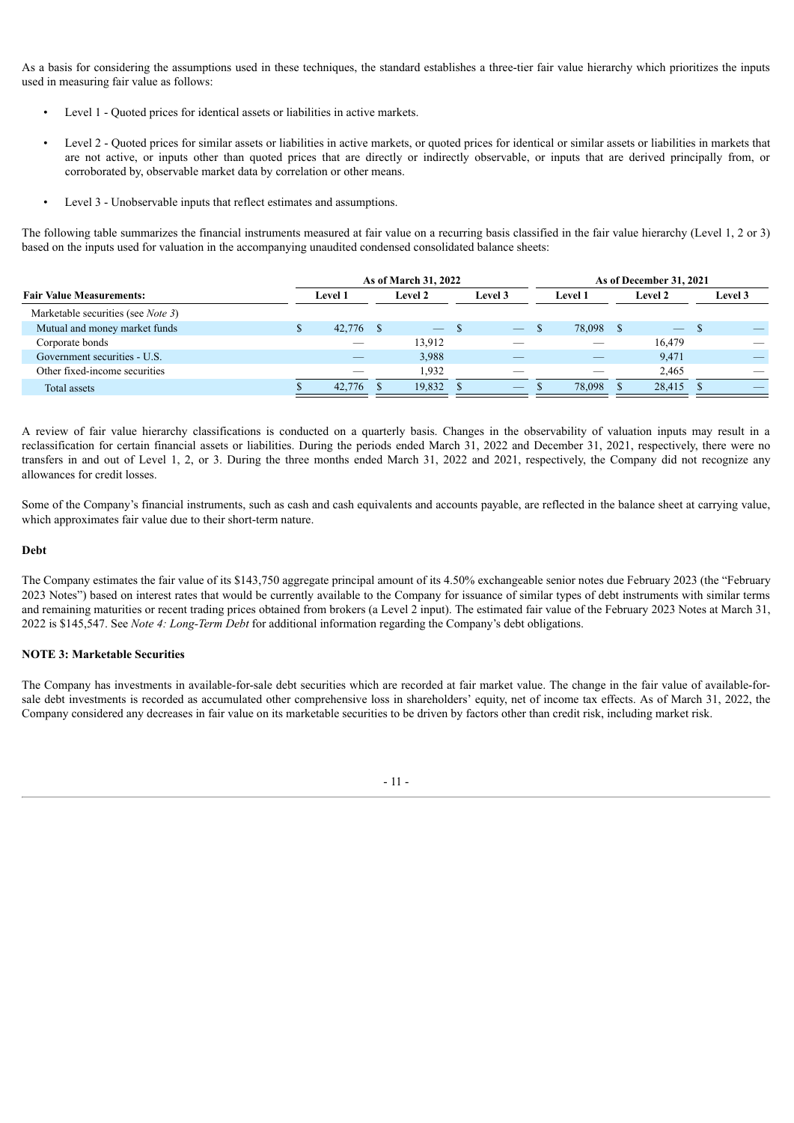As a basis for considering the assumptions used in these techniques, the standard establishes a three-tier fair value hierarchy which prioritizes the inputs used in measuring fair value as follows:

- Level 1 Quoted prices for identical assets or liabilities in active markets.
- Level 2 Quoted prices for similar assets or liabilities in active markets, or quoted prices for identical or similar assets or liabilities in markets that are not active, or inputs other than quoted prices that are directly or indirectly observable, or inputs that are derived principally from, or corroborated by, observable market data by correlation or other means.
- Level 3 Unobservable inputs that reflect estimates and assumptions.

The following table summarizes the financial instruments measured at fair value on a recurring basis classified in the fair value hierarchy (Level 1, 2 or 3) based on the inputs used for valuation in the accompanying unaudited condensed consolidated balance sheets:

|                                            |  |                |  | As of March 31, 2022 |  |         | As of December 31, 2021 |                |  |                |  |         |  |
|--------------------------------------------|--|----------------|--|----------------------|--|---------|-------------------------|----------------|--|----------------|--|---------|--|
| <b>Fair Value Measurements:</b>            |  | <b>Level 1</b> |  | <b>Level 2</b>       |  | Level 3 |                         | <b>Level 1</b> |  | <b>Level 2</b> |  | Level 3 |  |
| Marketable securities (see <i>Note 3</i> ) |  |                |  |                      |  |         |                         |                |  |                |  |         |  |
| Mutual and money market funds              |  | 42,776 \$      |  | $ \sqrt{5}$          |  |         |                         | 78,098 \$      |  |                |  |         |  |
| Corporate bonds                            |  |                |  | 13,912               |  |         |                         |                |  | 16,479         |  |         |  |
| Government securities - U.S.               |  |                |  | 3,988                |  |         |                         |                |  | 9,471          |  |         |  |
| Other fixed-income securities              |  |                |  | 1.932                |  |         |                         |                |  | 2,465          |  |         |  |
| Total assets                               |  | 42.776         |  | 19,832               |  |         |                         | 78.098         |  | 28,415         |  |         |  |

A review of fair value hierarchy classifications is conducted on a quarterly basis. Changes in the observability of valuation inputs may result in a reclassification for certain financial assets or liabilities. During the periods ended March 31, 2022 and December 31, 2021, respectively, there were no transfers in and out of Level 1, 2, or 3. During the three months ended March 31, 2022 and 2021, respectively, the Company did not recognize any allowances for credit losses.

Some of the Company's financial instruments, such as cash and cash equivalents and accounts payable, are reflected in the balance sheet at carrying value, which approximates fair value due to their short-term nature.

#### **Debt**

The Company estimates the fair value of its \$143,750 aggregate principal amount of its 4.50% exchangeable senior notes due February 2023 (the "February 2023 Notes") based on interest rates that would be currently available to the Company for issuance of similar types of debt instruments with similar terms and remaining maturities or recent trading prices obtained from brokers (a Level 2 input). The estimated fair value of the February 2023 Notes at March 31, 2022 is \$145,547. See *Note 4: Long-Term Debt* for additional information regarding the Company's debt obligations.

#### **NOTE 3: Marketable Securities**

The Company has investments in available-for-sale debt securities which are recorded at fair market value. The change in the fair value of available-forsale debt investments is recorded as accumulated other comprehensive loss in shareholders' equity, net of income tax effects. As of March 31, 2022, the Company considered any decreases in fair value on its marketable securities to be driven by factors other than credit risk, including market risk.

- 11 -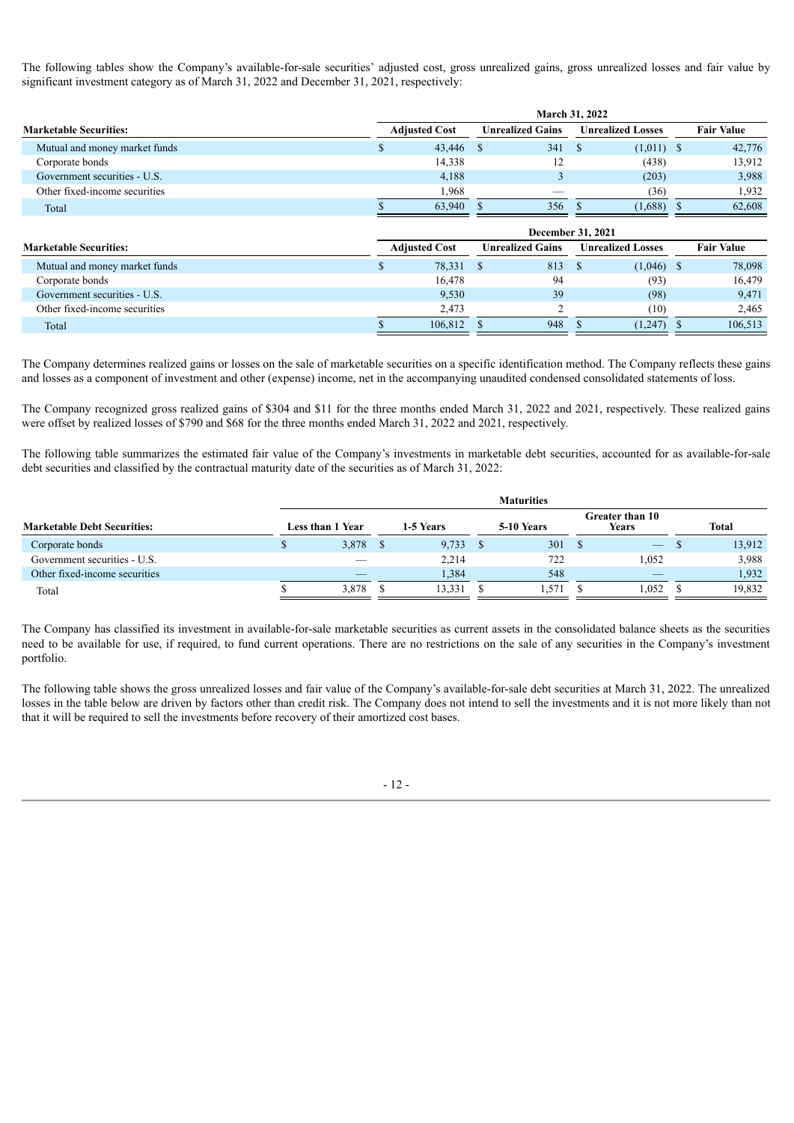The following tables show the Company's available-for-sale securities' adjusted cost, gross unrealized gains, gross unrealized losses and fair value by significant investment category as of March 31, 2022 and December 31, 2021, respectively:

|                               | <b>March 31, 2022</b> |        |                         |                                               |              |                   |  |  |  |  |
|-------------------------------|-----------------------|--------|-------------------------|-----------------------------------------------|--------------|-------------------|--|--|--|--|
| <b>Marketable Securities:</b> | <b>Adjusted Cost</b>  |        | <b>Unrealized Gains</b> | <b>Unrealized Losses</b>                      |              | <b>Fair Value</b> |  |  |  |  |
| Mutual and money market funds | ж                     | 43,446 | 341<br>-8               | - \$                                          | $(1,011)$ \$ | 42,776            |  |  |  |  |
| Corporate bonds               |                       | 14,338 | 12                      | (438)                                         |              | 13,912            |  |  |  |  |
| Government securities - U.S.  |                       | 4,188  | 3                       | (203)                                         |              | 3,988             |  |  |  |  |
| Other fixed-income securities |                       | 1,968  |                         |                                               | (36)         | 1,932             |  |  |  |  |
| Total                         |                       | 63,940 | 356                     | (1,688)                                       |              | 62,608            |  |  |  |  |
|                               |                       |        |                         |                                               |              |                   |  |  |  |  |
|                               |                       |        |                         |                                               |              |                   |  |  |  |  |
| <b>Marketable Securities:</b> | <b>Adjusted Cost</b>  |        | <b>Unrealized Gains</b> | December 31, 2021<br><b>Unrealized Losses</b> |              | <b>Fair Value</b> |  |  |  |  |
| Mutual and money market funds | Ж                     | 78,331 | 813<br>$^{\circ}$       | $\mathbf{S}$                                  | $(1,046)$ \$ | 78,098            |  |  |  |  |
| Corporate bonds               |                       | 16,478 | 94                      |                                               | (93)         | 16,479            |  |  |  |  |
| Government securities - U.S.  |                       | 9,530  | 39                      |                                               | (98)         | 9,471             |  |  |  |  |
| Other fixed-income securities |                       | 2,473  | 2                       |                                               | (10)         | 2,465             |  |  |  |  |

The Company determines realized gains or losses on the sale of marketable securities on a specific identification method. The Company reflects these gains and losses as a component of investment and other (expense) income, net in the accompanying unaudited condensed consolidated statements of loss.

The Company recognized gross realized gains of \$304 and \$11 for the three months ended March 31, 2022 and 2021, respectively. These realized gains were offset by realized losses of \$790 and \$68 for the three months ended March 31, 2022 and 2021, respectively.

The following table summarizes the estimated fair value of the Company's investments in marketable debt securities, accounted for as available-for-sale debt securities and classified by the contractual maturity date of the securities as of March 31, 2022:

|                                    | <b>Maturities</b> |                         |  |           |  |            |                                 |                          |  |              |  |  |
|------------------------------------|-------------------|-------------------------|--|-----------|--|------------|---------------------------------|--------------------------|--|--------------|--|--|
| <b>Marketable Debt Securities:</b> |                   | <b>Less than 1 Year</b> |  | 1-5 Years |  | 5-10 Years | <b>Greater than 10</b><br>Years |                          |  | <b>Total</b> |  |  |
| Corporate bonds                    |                   | 3,878                   |  | 9,733     |  | 301        |                                 | $\overline{\phantom{m}}$ |  | 13,912       |  |  |
| Government securities - U.S.       |                   |                         |  | 2,214     |  | 722        |                                 | 1,052                    |  | 3,988        |  |  |
| Other fixed-income securities      |                   | _                       |  | 1,384     |  | 548        |                                 | _                        |  | 1,932        |  |  |
| Total                              |                   | 3.878                   |  | 13,331    |  | .571       |                                 | .052                     |  | 19.832       |  |  |

The Company has classified its investment in available-for-sale marketable securities as current assets in the consolidated balance sheets as the securities need to be available for use, if required, to fund current operations. There are no restrictions on the sale of any securities in the Company's investment portfolio.

The following table shows the gross unrealized losses and fair value of the Company's available-for-sale debt securities at March 31, 2022. The unrealized losses in the table below are driven by factors other than credit risk. The Company does not intend to sell the investments and it is not more likely than not that it will be required to sell the investments before recovery of their amortized cost bases.

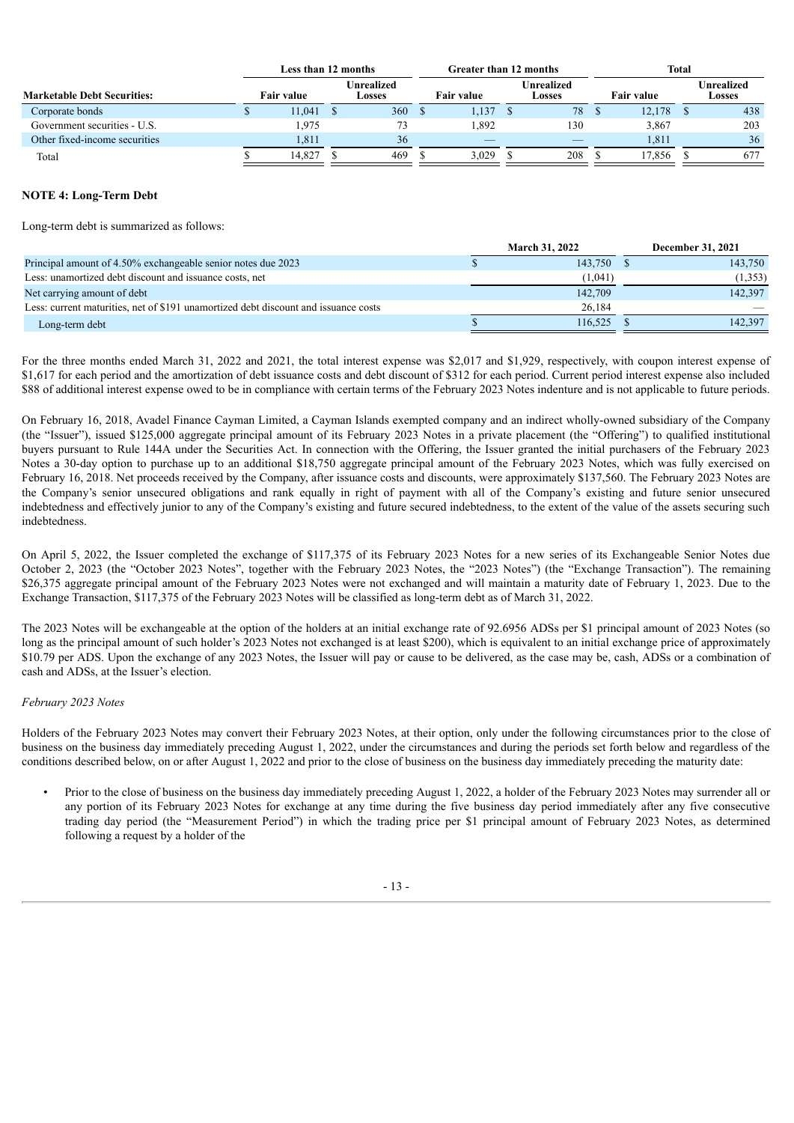|                                    |                   | Less than 12 months |                             |  |                   | Greater than 12 months |                      |  | <b>Total</b>      |  |                      |  |
|------------------------------------|-------------------|---------------------|-----------------------------|--|-------------------|------------------------|----------------------|--|-------------------|--|----------------------|--|
| <b>Marketable Debt Securities:</b> | <b>Fair value</b> |                     | <b>Unrealized</b><br>Losses |  | <b>Fair value</b> |                        | Unrealized<br>Losses |  | <b>Fair value</b> |  | Unrealized<br>Losses |  |
| Corporate bonds                    | 11,041            |                     | 360                         |  | .137              |                        | 78                   |  | 12,178            |  | 438                  |  |
| Government securities - U.S.       | 1.975             |                     | 73                          |  | .892              |                        | 130                  |  | 3,867             |  | 203                  |  |
| Other fixed-income securities      | 1.811             |                     | 36                          |  |                   |                        |                      |  | 1,811             |  | 36                   |  |
| Total                              | 14.827            |                     | 469                         |  | 3,029             |                        | 208                  |  | 17,856            |  | 677                  |  |

### **NOTE 4: Long-Term Debt**

Long-term debt is summarized as follows:

|                                                                                     | <b>March 31, 2022</b> |         |  | <b>December 31, 2021</b> |
|-------------------------------------------------------------------------------------|-----------------------|---------|--|--------------------------|
| Principal amount of 4.50% exchangeable senior notes due 2023                        |                       | 143.750 |  | 143,750                  |
| Less: unamortized debt discount and issuance costs, net                             |                       | (1.041) |  | (1,353)                  |
| Net carrying amount of debt                                                         |                       | 142,709 |  | 142.397                  |
| Less: current maturities, net of \$191 unamortized debt discount and issuance costs |                       | 26.184  |  |                          |
| Long-term debt                                                                      |                       | 116.525 |  | 142,397                  |

For the three months ended March 31, 2022 and 2021, the total interest expense was \$2,017 and \$1,929, respectively, with coupon interest expense of \$1,617 for each period and the amortization of debt issuance costs and debt discount of \$312 for each period. Current period interest expense also included \$88 of additional interest expense owed to be in compliance with certain terms of the February 2023 Notes indenture and is not applicable to future periods.

On February 16, 2018, Avadel Finance Cayman Limited, a Cayman Islands exempted company and an indirect wholly-owned subsidiary of the Company (the "Issuer"), issued \$125,000 aggregate principal amount of its February 2023 Notes in a private placement (the "Offering") to qualified institutional buyers pursuant to Rule 144A under the Securities Act. In connection with the Offering, the Issuer granted the initial purchasers of the February 2023 Notes a 30-day option to purchase up to an additional \$18,750 aggregate principal amount of the February 2023 Notes, which was fully exercised on February 16, 2018. Net proceeds received by the Company, after issuance costs and discounts, were approximately \$137,560. The February 2023 Notes are the Company's senior unsecured obligations and rank equally in right of payment with all of the Company's existing and future senior unsecured indebtedness and effectively junior to any of the Company's existing and future secured indebtedness, to the extent of the value of the assets securing such indebtedness.

On April 5, 2022, the Issuer completed the exchange of \$117,375 of its February 2023 Notes for a new series of its Exchangeable Senior Notes due October 2, 2023 (the "October 2023 Notes", together with the February 2023 Notes, the "2023 Notes") (the "Exchange Transaction"). The remaining \$26,375 aggregate principal amount of the February 2023 Notes were not exchanged and will maintain a maturity date of February 1, 2023. Due to the Exchange Transaction, \$117,375 of the February 2023 Notes will be classified as long-term debt as of March 31, 2022.

The 2023 Notes will be exchangeable at the option of the holders at an initial exchange rate of 92.6956 ADSs per \$1 principal amount of 2023 Notes (so long as the principal amount of such holder's 2023 Notes not exchanged is at least \$200), which is equivalent to an initial exchange price of approximately \$10.79 per ADS. Upon the exchange of any 2023 Notes, the Issuer will pay or cause to be delivered, as the case may be, cash, ADSs or a combination of cash and ADSs, at the Issuer's election.

### *February 2023 Notes*

Holders of the February 2023 Notes may convert their February 2023 Notes, at their option, only under the following circumstances prior to the close of business on the business day immediately preceding August 1, 2022, under the circumstances and during the periods set forth below and regardless of the conditions described below, on or after August 1, 2022 and prior to the close of business on the business day immediately preceding the maturity date:

• Prior to the close of business on the business day immediately preceding August 1, 2022, a holder of the February 2023 Notes may surrender all or any portion of its February 2023 Notes for exchange at any time during the five business day period immediately after any five consecutive trading day period (the "Measurement Period") in which the trading price per \$1 principal amount of February 2023 Notes, as determined following a request by a holder of the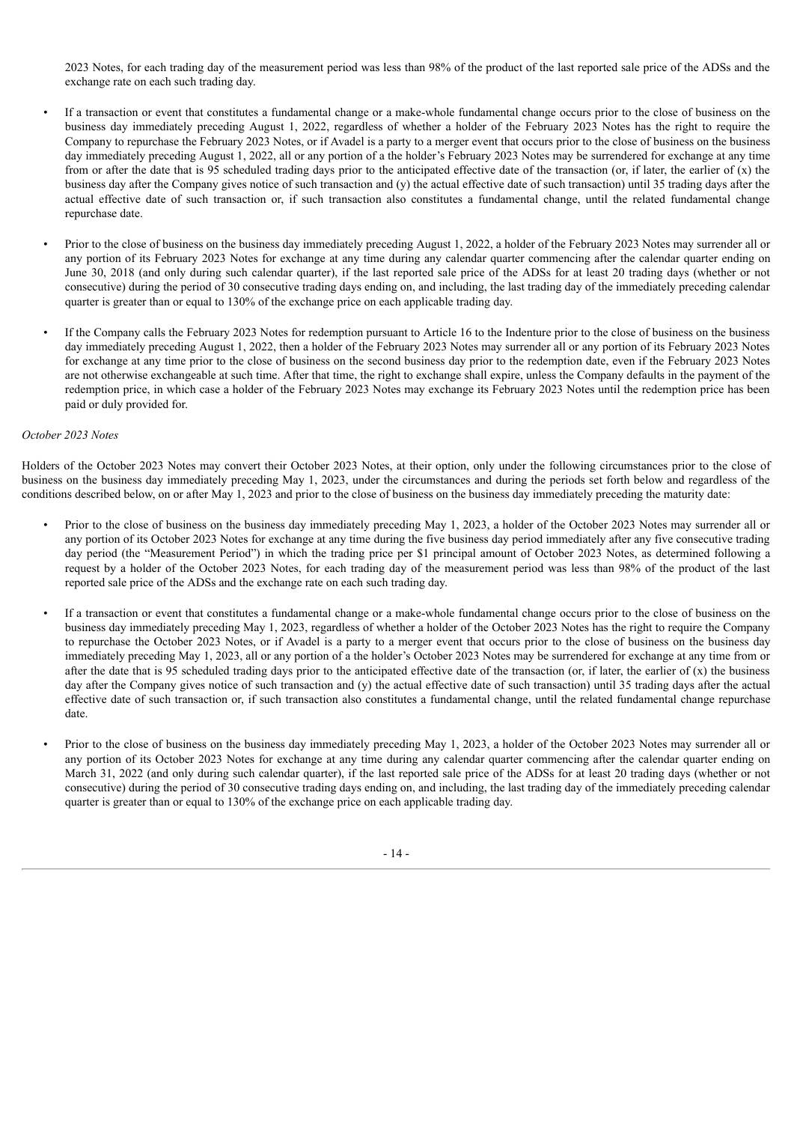2023 Notes, for each trading day of the measurement period was less than 98% of the product of the last reported sale price of the ADSs and the exchange rate on each such trading day.

- If a transaction or event that constitutes a fundamental change or a make-whole fundamental change occurs prior to the close of business on the business day immediately preceding August 1, 2022, regardless of whether a holder of the February 2023 Notes has the right to require the Company to repurchase the February 2023 Notes, or if Avadel is a party to a merger event that occurs prior to the close of business on the business day immediately preceding August 1, 2022, all or any portion of a the holder's February 2023 Notes may be surrendered for exchange at any time from or after the date that is 95 scheduled trading days prior to the anticipated effective date of the transaction (or, if later, the earlier of  $(x)$ ) the business day after the Company gives notice of such transaction and (y) the actual effective date of such transaction) until 35 trading days after the actual effective date of such transaction or, if such transaction also constitutes a fundamental change, until the related fundamental change repurchase date.
- Prior to the close of business on the business day immediately preceding August 1, 2022, a holder of the February 2023 Notes may surrender all or any portion of its February 2023 Notes for exchange at any time during any calendar quarter commencing after the calendar quarter ending on June 30, 2018 (and only during such calendar quarter), if the last reported sale price of the ADSs for at least 20 trading days (whether or not consecutive) during the period of 30 consecutive trading days ending on, and including, the last trading day of the immediately preceding calendar quarter is greater than or equal to 130% of the exchange price on each applicable trading day.
- If the Company calls the February 2023 Notes for redemption pursuant to Article 16 to the Indenture prior to the close of business on the business day immediately preceding August 1, 2022, then a holder of the February 2023 Notes may surrender all or any portion of its February 2023 Notes for exchange at any time prior to the close of business on the second business day prior to the redemption date, even if the February 2023 Notes are not otherwise exchangeable at such time. After that time, the right to exchange shall expire, unless the Company defaults in the payment of the redemption price, in which case a holder of the February 2023 Notes may exchange its February 2023 Notes until the redemption price has been paid or duly provided for.

#### *October 2023 Notes*

Holders of the October 2023 Notes may convert their October 2023 Notes, at their option, only under the following circumstances prior to the close of business on the business day immediately preceding May 1, 2023, under the circumstances and during the periods set forth below and regardless of the conditions described below, on or after May 1, 2023 and prior to the close of business on the business day immediately preceding the maturity date:

- Prior to the close of business on the business day immediately preceding May 1, 2023, a holder of the October 2023 Notes may surrender all or any portion of its October 2023 Notes for exchange at any time during the five business day period immediately after any five consecutive trading day period (the "Measurement Period") in which the trading price per \$1 principal amount of October 2023 Notes, as determined following a request by a holder of the October 2023 Notes, for each trading day of the measurement period was less than 98% of the product of the last reported sale price of the ADSs and the exchange rate on each such trading day.
- If a transaction or event that constitutes a fundamental change or a make-whole fundamental change occurs prior to the close of business on the business day immediately preceding May 1, 2023, regardless of whether a holder of the October 2023 Notes has the right to require the Company to repurchase the October 2023 Notes, or if Avadel is a party to a merger event that occurs prior to the close of business on the business day immediately preceding May 1, 2023, all or any portion of a the holder's October 2023 Notes may be surrendered for exchange at any time from or after the date that is 95 scheduled trading days prior to the anticipated effective date of the transaction (or, if later, the earlier of  $(x)$ ) the business day after the Company gives notice of such transaction and (y) the actual effective date of such transaction) until 35 trading days after the actual effective date of such transaction or, if such transaction also constitutes a fundamental change, until the related fundamental change repurchase date.
- Prior to the close of business on the business day immediately preceding May 1, 2023, a holder of the October 2023 Notes may surrender all or any portion of its October 2023 Notes for exchange at any time during any calendar quarter commencing after the calendar quarter ending on March 31, 2022 (and only during such calendar quarter), if the last reported sale price of the ADSs for at least 20 trading days (whether or not consecutive) during the period of 30 consecutive trading days ending on, and including, the last trading day of the immediately preceding calendar quarter is greater than or equal to 130% of the exchange price on each applicable trading day.

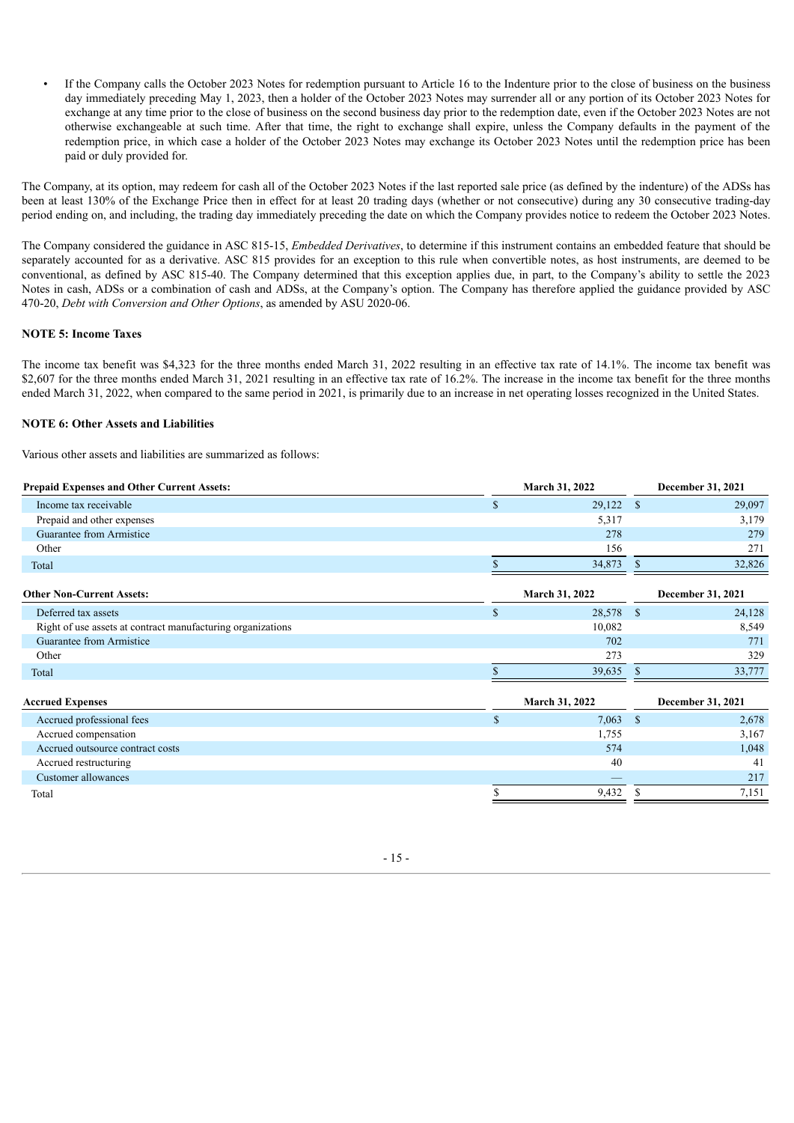• If the Company calls the October 2023 Notes for redemption pursuant to Article 16 to the Indenture prior to the close of business on the business day immediately preceding May 1, 2023, then a holder of the October 2023 Notes may surrender all or any portion of its October 2023 Notes for exchange at any time prior to the close of business on the second business day prior to the redemption date, even if the October 2023 Notes are not otherwise exchangeable at such time. After that time, the right to exchange shall expire, unless the Company defaults in the payment of the redemption price, in which case a holder of the October 2023 Notes may exchange its October 2023 Notes until the redemption price has been paid or duly provided for.

The Company, at its option, may redeem for cash all of the October 2023 Notes if the last reported sale price (as defined by the indenture) of the ADSs has been at least 130% of the Exchange Price then in effect for at least 20 trading days (whether or not consecutive) during any 30 consecutive trading-day period ending on, and including, the trading day immediately preceding the date on which the Company provides notice to redeem the October 2023 Notes.

The Company considered the guidance in ASC 815-15, *Embedded Derivatives*, to determine if this instrument contains an embedded feature that should be separately accounted for as a derivative. ASC 815 provides for an exception to this rule when convertible notes, as host instruments, are deemed to be conventional, as defined by ASC 815-40. The Company determined that this exception applies due, in part, to the Company's ability to settle the 2023 Notes in cash, ADSs or a combination of cash and ADSs, at the Company's option. The Company has therefore applied the guidance provided by ASC 470-20, *Debt with Conversion and Other Options*, as amended by ASU 2020-06.

### **NOTE 5: Income Taxes**

The income tax benefit was \$4,323 for the three months ended March 31, 2022 resulting in an effective tax rate of 14.1%. The income tax benefit was \$2,607 for the three months ended March 31, 2021 resulting in an effective tax rate of 16.2%. The increase in the income tax benefit for the three months ended March 31, 2022, when compared to the same period in 2021, is primarily due to an increase in net operating losses recognized in the United States.

### **NOTE 6: Other Assets and Liabilities**

Various other assets and liabilities are summarized as follows:

| <b>Prepaid Expenses and Other Current Assets:</b>           |              | March 31, 2022        | December 31, 2021 |                   |  |
|-------------------------------------------------------------|--------------|-----------------------|-------------------|-------------------|--|
| Income tax receivable                                       | $\mathbb{S}$ | 29,122                | <sup>\$</sup>     | 29,097            |  |
| Prepaid and other expenses                                  |              | 5,317                 |                   | 3,179             |  |
| Guarantee from Armistice                                    |              | 278                   |                   | 279               |  |
| Other                                                       |              | 156                   |                   | 271               |  |
| Total                                                       |              | 34,873                | \$                | 32,826            |  |
| <b>Other Non-Current Assets:</b>                            |              | <b>March 31, 2022</b> |                   | December 31, 2021 |  |
| Deferred tax assets                                         | $\mathbb{S}$ | 28,578                | - \$              | 24,128            |  |
| Right of use assets at contract manufacturing organizations |              | 10,082                |                   | 8,549             |  |
| Guarantee from Armistice                                    |              | 702                   |                   | 771               |  |
| Other                                                       |              | 273                   |                   | 329               |  |
| Total                                                       |              | 39,635                | $\mathbb{S}$      | 33,777            |  |
| <b>Accrued Expenses</b>                                     |              | March 31, 2022        |                   | December 31, 2021 |  |
| Accrued professional fees                                   | $\mathbb{S}$ | 7,063                 | <sup>\$</sup>     | 2,678             |  |
| Accrued compensation                                        |              | 1,755                 |                   | 3,167             |  |
| Accrued outsource contract costs                            |              | 574                   |                   | 1,048             |  |
| Accrued restructuring                                       |              | 40                    |                   | 41                |  |
| Customer allowances                                         |              |                       |                   | 217               |  |
| Total                                                       |              | 9,432                 | \$.               | 7,151             |  |

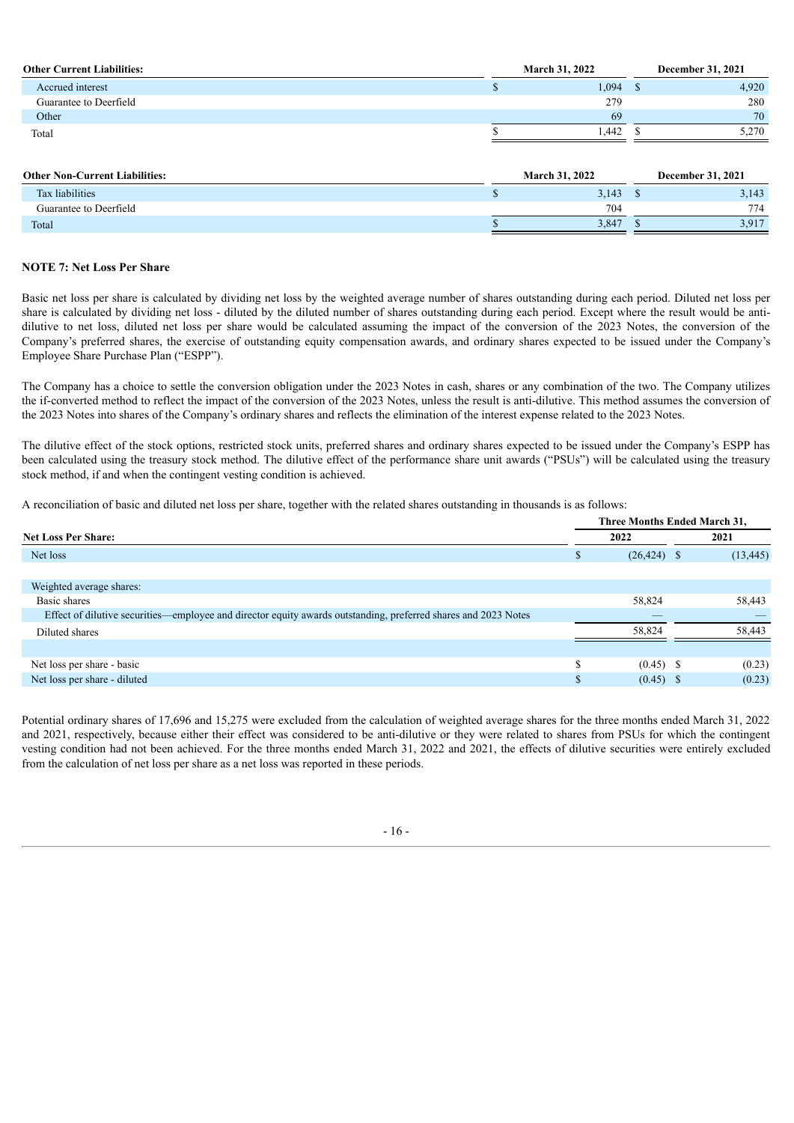| <b>Other Current Liabilities:</b> | <b>March 31, 2022</b> |       |  | <b>December 31, 2021</b> |  |  |
|-----------------------------------|-----------------------|-------|--|--------------------------|--|--|
| Accrued interest                  |                       | 1,094 |  | 4,920                    |  |  |
| Guarantee to Deerfield            |                       | 279   |  | 280                      |  |  |
| Other                             |                       | 69    |  | 70                       |  |  |
| Total                             |                       | 1.442 |  | 5,270                    |  |  |

| <b>Other Non-Current Liabilities:</b><br><b>March 31, 2022</b> |  |       |  | <b>December 31, 2021</b> |  |  |  |
|----------------------------------------------------------------|--|-------|--|--------------------------|--|--|--|
| Tax liabilities                                                |  | 3,143 |  | 3,143                    |  |  |  |
| Guarantee to Deerfield                                         |  | 704   |  | 774                      |  |  |  |
| Total                                                          |  | 3,847 |  | 3,917                    |  |  |  |

### **NOTE 7: Net Loss Per Share**

Basic net loss per share is calculated by dividing net loss by the weighted average number of shares outstanding during each period. Diluted net loss per share is calculated by dividing net loss - diluted by the diluted number of shares outstanding during each period. Except where the result would be antidilutive to net loss, diluted net loss per share would be calculated assuming the impact of the conversion of the 2023 Notes, the conversion of the Company's preferred shares, the exercise of outstanding equity compensation awards, and ordinary shares expected to be issued under the Company's Employee Share Purchase Plan ("ESPP").

The Company has a choice to settle the conversion obligation under the 2023 Notes in cash, shares or any combination of the two. The Company utilizes the if-converted method to reflect the impact of the conversion of the 2023 Notes, unless the result is anti-dilutive. This method assumes the conversion of the 2023 Notes into shares of the Company's ordinary shares and reflects the elimination of the interest expense related to the 2023 Notes.

The dilutive effect of the stock options, restricted stock units, preferred shares and ordinary shares expected to be issued under the Company's ESPP has been calculated using the treasury stock method. The dilutive effect of the performance share unit awards ("PSUs") will be calculated using the treasury stock method, if and when the contingent vesting condition is achieved.

A reconciliation of basic and diluted net loss per share, together with the related shares outstanding in thousands is as follows:

|                                                                                                                | Three Months Ended March 31, |                |      |           |  |  |  |
|----------------------------------------------------------------------------------------------------------------|------------------------------|----------------|------|-----------|--|--|--|
| <b>Net Loss Per Share:</b>                                                                                     |                              | 2022           | 2021 |           |  |  |  |
| Net loss                                                                                                       | S                            | $(26, 424)$ \$ |      | (13, 445) |  |  |  |
|                                                                                                                |                              |                |      |           |  |  |  |
| Weighted average shares:                                                                                       |                              |                |      |           |  |  |  |
| Basic shares                                                                                                   |                              | 58,824         |      | 58,443    |  |  |  |
| Effect of dilutive securities—employee and director equity awards outstanding, preferred shares and 2023 Notes |                              |                |      |           |  |  |  |
| Diluted shares                                                                                                 |                              | 58,824         |      | 58,443    |  |  |  |
|                                                                                                                |                              |                |      |           |  |  |  |
| Net loss per share - basic                                                                                     | \$                           | $(0.45)$ \$    |      | (0.23)    |  |  |  |
| Net loss per share - diluted                                                                                   | \$                           | (0.45)         |      | (0.23)    |  |  |  |

Potential ordinary shares of 17,696 and 15,275 were excluded from the calculation of weighted average shares for the three months ended March 31, 2022 and 2021, respectively, because either their effect was considered to be anti-dilutive or they were related to shares from PSUs for which the contingent vesting condition had not been achieved. For the three months ended March 31, 2022 and 2021, the effects of dilutive securities were entirely excluded from the calculation of net loss per share as a net loss was reported in these periods.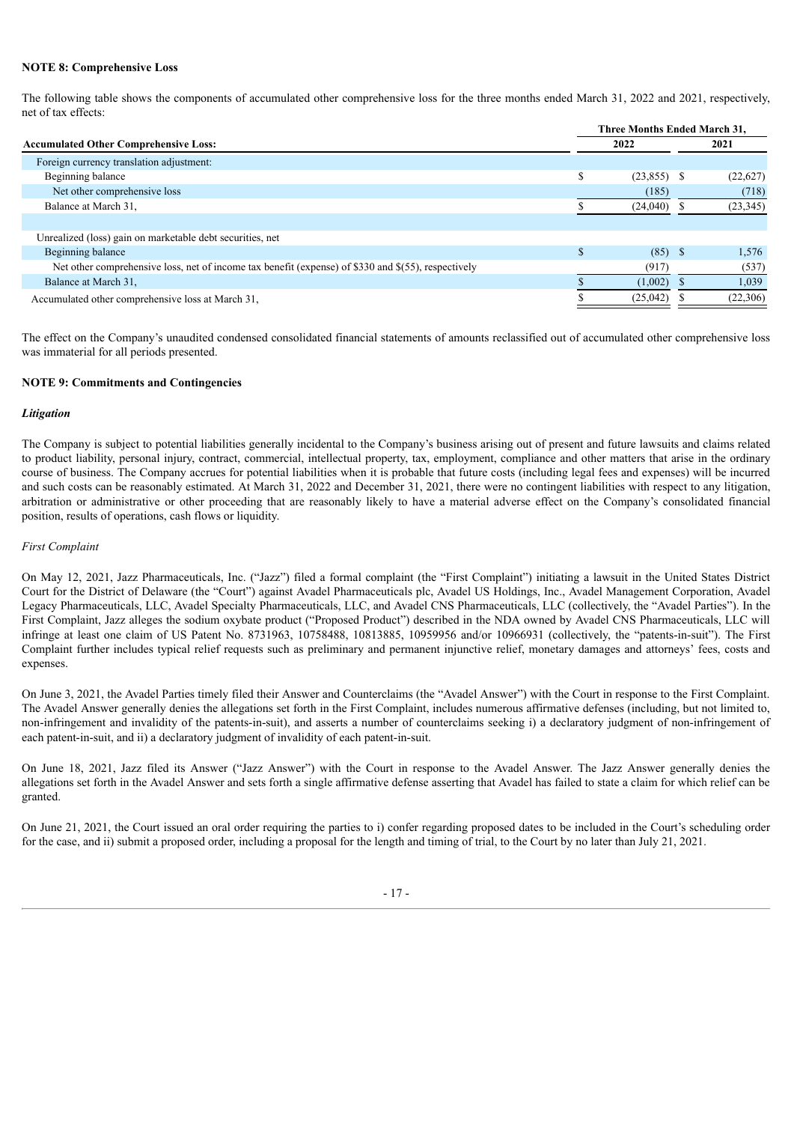### **NOTE 8: Comprehensive Loss**

The following table shows the components of accumulated other comprehensive loss for the three months ended March 31, 2022 and 2021, respectively, net of tax effects:

|                                                                                                     |    | Three Months Ended March 31, |  |           |  |  |  |
|-----------------------------------------------------------------------------------------------------|----|------------------------------|--|-----------|--|--|--|
| <b>Accumulated Other Comprehensive Loss:</b>                                                        |    | 2022                         |  | 2021      |  |  |  |
| Foreign currency translation adjustment:                                                            |    |                              |  |           |  |  |  |
| Beginning balance                                                                                   | \$ | $(23,855)$ \$                |  | (22,627)  |  |  |  |
| Net other comprehensive loss                                                                        |    | (185)                        |  | (718)     |  |  |  |
| Balance at March 31,                                                                                |    | (24,040)                     |  | (23, 345) |  |  |  |
|                                                                                                     |    |                              |  |           |  |  |  |
| Unrealized (loss) gain on marketable debt securities, net                                           |    |                              |  |           |  |  |  |
| Beginning balance                                                                                   |    | $(85)$ \$                    |  | 1,576     |  |  |  |
| Net other comprehensive loss, net of income tax benefit (expense) of \$330 and \$(55), respectively |    | (917)                        |  | (537)     |  |  |  |
| Balance at March 31.                                                                                |    | (1,002)                      |  | 1,039     |  |  |  |
| Accumulated other comprehensive loss at March 31,                                                   |    | (25, 042)                    |  | (22,306)  |  |  |  |
|                                                                                                     |    |                              |  |           |  |  |  |

The effect on the Company's unaudited condensed consolidated financial statements of amounts reclassified out of accumulated other comprehensive loss was immaterial for all periods presented.

### **NOTE 9: Commitments and Contingencies**

#### *Litigation*

The Company is subject to potential liabilities generally incidental to the Company's business arising out of present and future lawsuits and claims related to product liability, personal injury, contract, commercial, intellectual property, tax, employment, compliance and other matters that arise in the ordinary course of business. The Company accrues for potential liabilities when it is probable that future costs (including legal fees and expenses) will be incurred and such costs can be reasonably estimated. At March 31, 2022 and December 31, 2021, there were no contingent liabilities with respect to any litigation, arbitration or administrative or other proceeding that are reasonably likely to have a material adverse effect on the Company's consolidated financial position, results of operations, cash flows or liquidity.

### *First Complaint*

On May 12, 2021, Jazz Pharmaceuticals, Inc. ("Jazz") filed a formal complaint (the "First Complaint") initiating a lawsuit in the United States District Court for the District of Delaware (the "Court") against Avadel Pharmaceuticals plc, Avadel US Holdings, Inc., Avadel Management Corporation, Avadel Legacy Pharmaceuticals, LLC, Avadel Specialty Pharmaceuticals, LLC, and Avadel CNS Pharmaceuticals, LLC (collectively, the "Avadel Parties"). In the First Complaint, Jazz alleges the sodium oxybate product ("Proposed Product") described in the NDA owned by Avadel CNS Pharmaceuticals, LLC will infringe at least one claim of US Patent No. 8731963, 10758488, 10813885, 10959956 and/or 10966931 (collectively, the "patents-in-suit"). The First Complaint further includes typical relief requests such as preliminary and permanent injunctive relief, monetary damages and attorneys' fees, costs and expenses.

On June 3, 2021, the Avadel Parties timely filed their Answer and Counterclaims (the "Avadel Answer") with the Court in response to the First Complaint. The Avadel Answer generally denies the allegations set forth in the First Complaint, includes numerous affirmative defenses (including, but not limited to, non-infringement and invalidity of the patents-in-suit), and asserts a number of counterclaims seeking i) a declaratory judgment of non-infringement of each patent-in-suit, and ii) a declaratory judgment of invalidity of each patent-in-suit.

On June 18, 2021, Jazz filed its Answer ("Jazz Answer") with the Court in response to the Avadel Answer. The Jazz Answer generally denies the allegations set forth in the Avadel Answer and sets forth a single affirmative defense asserting that Avadel has failed to state a claim for which relief can be granted.

On June 21, 2021, the Court issued an oral order requiring the parties to i) confer regarding proposed dates to be included in the Court's scheduling order for the case, and ii) submit a proposed order, including a proposal for the length and timing of trial, to the Court by no later than July 21, 2021.

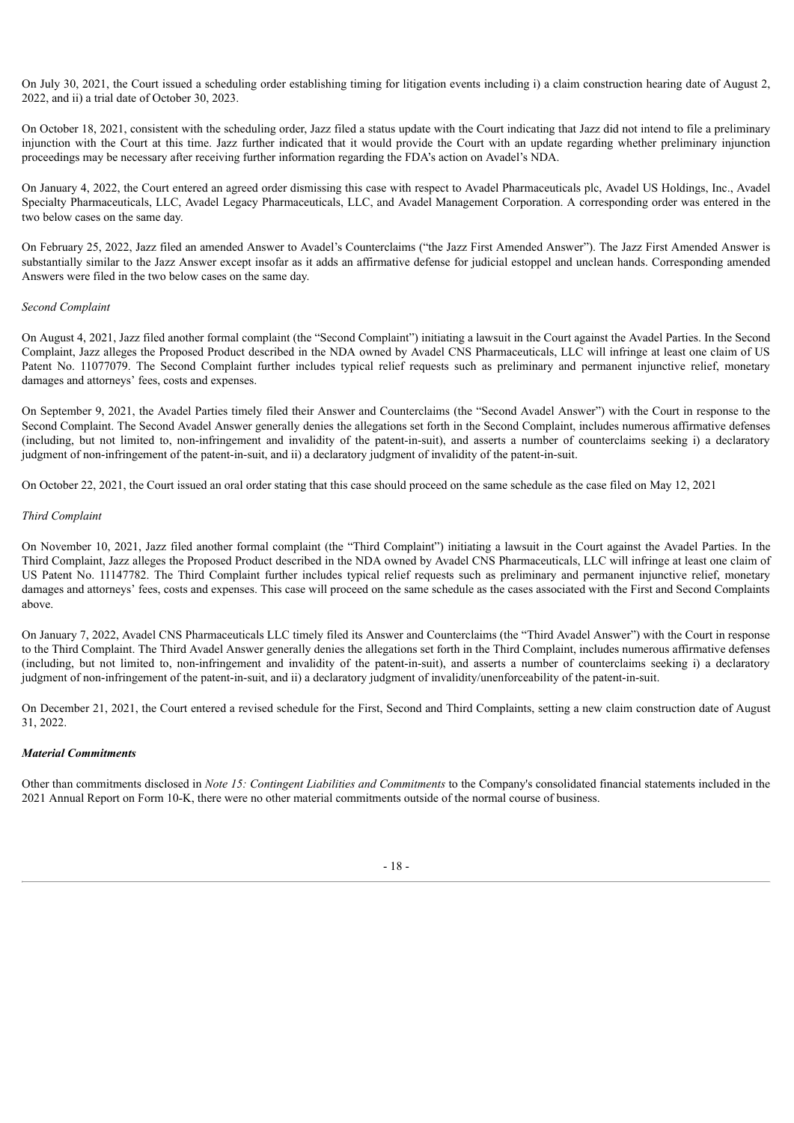On July 30, 2021, the Court issued a scheduling order establishing timing for litigation events including i) a claim construction hearing date of August 2, 2022, and ii) a trial date of October 30, 2023.

On October 18, 2021, consistent with the scheduling order, Jazz filed a status update with the Court indicating that Jazz did not intend to file a preliminary injunction with the Court at this time. Jazz further indicated that it would provide the Court with an update regarding whether preliminary injunction proceedings may be necessary after receiving further information regarding the FDA's action on Avadel's NDA.

On January 4, 2022, the Court entered an agreed order dismissing this case with respect to Avadel Pharmaceuticals plc, Avadel US Holdings, Inc., Avadel Specialty Pharmaceuticals, LLC, Avadel Legacy Pharmaceuticals, LLC, and Avadel Management Corporation. A corresponding order was entered in the two below cases on the same day.

On February 25, 2022, Jazz filed an amended Answer to Avadel's Counterclaims ("the Jazz First Amended Answer"). The Jazz First Amended Answer is substantially similar to the Jazz Answer except insofar as it adds an affirmative defense for judicial estoppel and unclean hands. Corresponding amended Answers were filed in the two below cases on the same day.

### *Second Complaint*

On August 4, 2021, Jazz filed another formal complaint (the "Second Complaint") initiating a lawsuit in the Court against the Avadel Parties. In the Second Complaint, Jazz alleges the Proposed Product described in the NDA owned by Avadel CNS Pharmaceuticals, LLC will infringe at least one claim of US Patent No. 11077079. The Second Complaint further includes typical relief requests such as preliminary and permanent injunctive relief, monetary damages and attorneys' fees, costs and expenses.

On September 9, 2021, the Avadel Parties timely filed their Answer and Counterclaims (the "Second Avadel Answer") with the Court in response to the Second Complaint. The Second Avadel Answer generally denies the allegations set forth in the Second Complaint, includes numerous affirmative defenses (including, but not limited to, non-infringement and invalidity of the patent-in-suit), and asserts a number of counterclaims seeking i) a declaratory judgment of non-infringement of the patent-in-suit, and ii) a declaratory judgment of invalidity of the patent-in-suit.

On October 22, 2021, the Court issued an oral order stating that this case should proceed on the same schedule as the case filed on May 12, 2021

### *Third Complaint*

On November 10, 2021, Jazz filed another formal complaint (the "Third Complaint") initiating a lawsuit in the Court against the Avadel Parties. In the Third Complaint, Jazz alleges the Proposed Product described in the NDA owned by Avadel CNS Pharmaceuticals, LLC will infringe at least one claim of US Patent No. 11147782. The Third Complaint further includes typical relief requests such as preliminary and permanent injunctive relief, monetary damages and attorneys' fees, costs and expenses. This case will proceed on the same schedule as the cases associated with the First and Second Complaints above.

On January 7, 2022, Avadel CNS Pharmaceuticals LLC timely filed its Answer and Counterclaims (the "Third Avadel Answer") with the Court in response to the Third Complaint. The Third Avadel Answer generally denies the allegations set forth in the Third Complaint, includes numerous affirmative defenses (including, but not limited to, non-infringement and invalidity of the patent-in-suit), and asserts a number of counterclaims seeking i) a declaratory judgment of non-infringement of the patent-in-suit, and ii) a declaratory judgment of invalidity/unenforceability of the patent-in-suit.

On December 21, 2021, the Court entered a revised schedule for the First, Second and Third Complaints, setting a new claim construction date of August 31, 2022.

### *Material Commitments*

Other than commitments disclosed in *Note 15: Contingent Liabilities and Commitments* to the Company's consolidated financial statements included in the 2021 Annual Report on Form 10-K, there were no other material commitments outside of the normal course of business.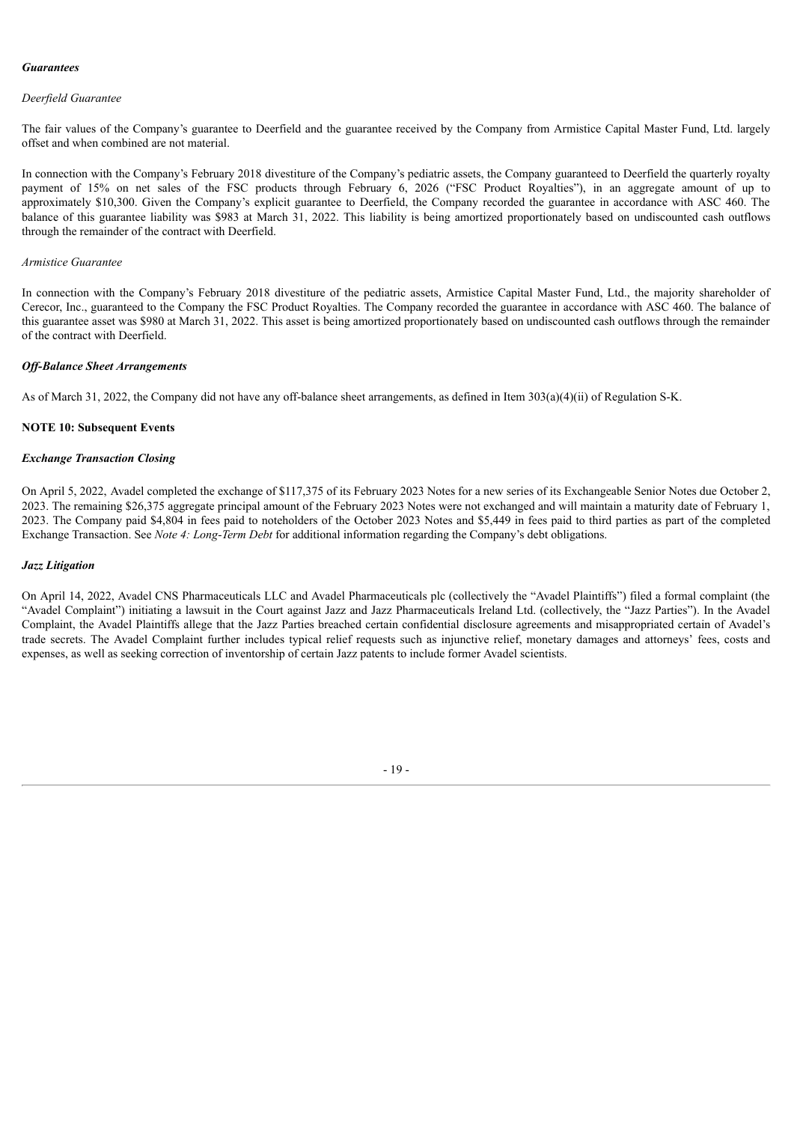### *Guarantees*

### *Deerfield Guarantee*

The fair values of the Company's guarantee to Deerfield and the guarantee received by the Company from Armistice Capital Master Fund, Ltd. largely offset and when combined are not material.

In connection with the Company's February 2018 divestiture of the Company's pediatric assets, the Company guaranteed to Deerfield the quarterly royalty payment of 15% on net sales of the FSC products through February 6, 2026 ("FSC Product Royalties"), in an aggregate amount of up to approximately \$10,300. Given the Company's explicit guarantee to Deerfield, the Company recorded the guarantee in accordance with ASC 460. The balance of this guarantee liability was \$983 at March 31, 2022. This liability is being amortized proportionately based on undiscounted cash outflows through the remainder of the contract with Deerfield.

#### *Armistice Guarantee*

In connection with the Company's February 2018 divestiture of the pediatric assets, Armistice Capital Master Fund, Ltd., the majority shareholder of Cerecor, Inc., guaranteed to the Company the FSC Product Royalties. The Company recorded the guarantee in accordance with ASC 460. The balance of this guarantee asset was \$980 at March 31, 2022. This asset is being amortized proportionately based on undiscounted cash outflows through the remainder of the contract with Deerfield.

#### *Of -Balance Sheet Arrangements*

As of March 31, 2022, the Company did not have any off-balance sheet arrangements, as defined in Item 303(a)(4)(ii) of Regulation S-K.

#### **NOTE 10: Subsequent Events**

#### *Exchange Transaction Closing*

On April 5, 2022, Avadel completed the exchange of \$117,375 of its February 2023 Notes for a new series of its Exchangeable Senior Notes due October 2, 2023. The remaining \$26,375 aggregate principal amount of the February 2023 Notes were not exchanged and will maintain a maturity date of February 1, 2023. The Company paid \$4,804 in fees paid to noteholders of the October 2023 Notes and \$5,449 in fees paid to third parties as part of the completed Exchange Transaction. See *Note 4: Long-Term Debt* for additional information regarding the Company's debt obligations.

#### *Jazz Litigation*

<span id="page-19-0"></span>On April 14, 2022, Avadel CNS Pharmaceuticals LLC and Avadel Pharmaceuticals plc (collectively the "Avadel Plaintiffs") filed a formal complaint (the "Avadel Complaint") initiating a lawsuit in the Court against Jazz and Jazz Pharmaceuticals Ireland Ltd. (collectively, the "Jazz Parties"). In the Avadel Complaint, the Avadel Plaintiffs allege that the Jazz Parties breached certain confidential disclosure agreements and misappropriated certain of Avadel's trade secrets. The Avadel Complaint further includes typical relief requests such as injunctive relief, monetary damages and attorneys' fees, costs and expenses, as well as seeking correction of inventorship of certain Jazz patents to include former Avadel scientists.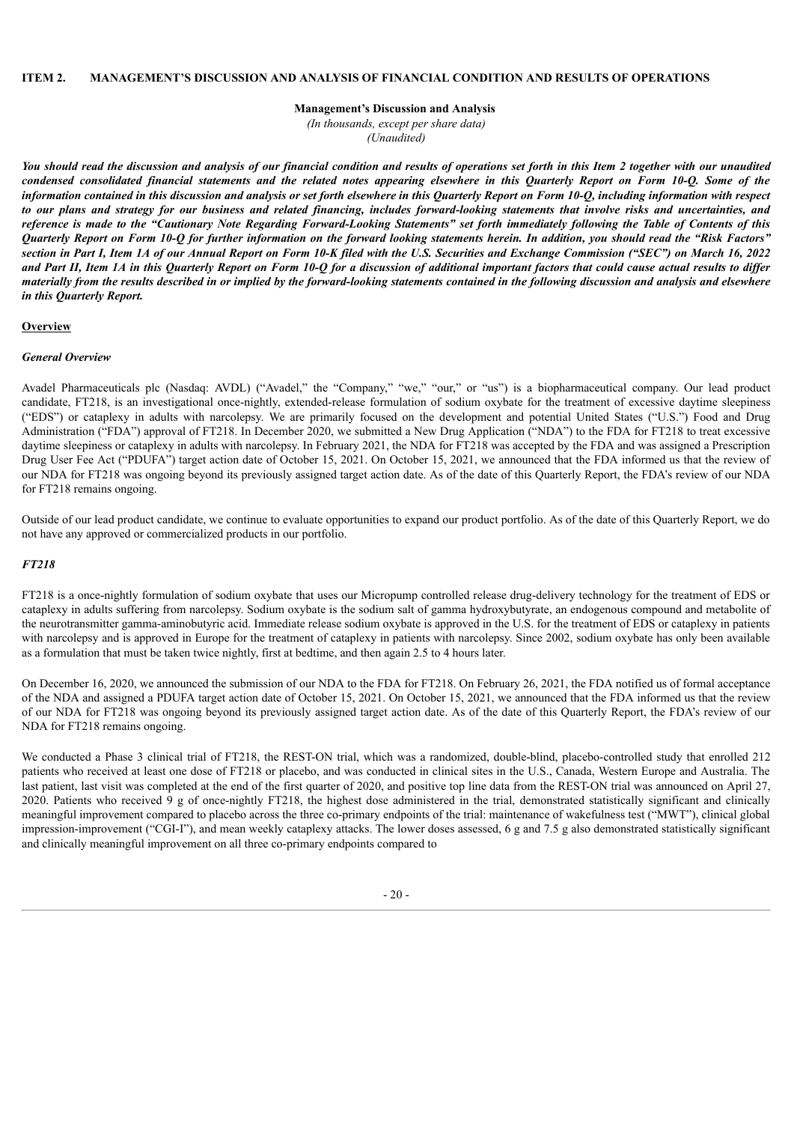**Management's Discussion and Analysis**

*(In thousands, except per share data)*

*(Unaudited)*

You should read the discussion and analysis of our financial condition and results of operations set forth in this Item 2 together with our unaudited condensed consolidated financial statements and the related notes appearing elsewhere in this Quarterly Report on Form 10-Q. Some of the information contained in this discussion and analysis or set forth elsewhere in this Quarterly Report on Form 10-O, including information with respect to our plans and strategy for our business and related financing, includes forward-looking statements that involve risks and uncertainties, and reference is made to the "Cautionary Note Regarding Forward-Looking Statements" set forth immediately following the Table of Contents of this Quarterly Report on Form 10-Q for further information on the forward looking statements herein. In addition, you should read the "Risk Factors" section in Part I, Item 1A of our Annual Report on Form 10-K filed with the U.S. Securities and Exchange Commission ("SEC") on March 16, 2022 and Part II, Item 1A in this Quarterly Report on Form 10-O for a discussion of additional important factors that could cause actual results to differ materially from the results described in or implied by the forward-looking statements contained in the following discussion and analysis and elsewhere *in this Quarterly Report.*

#### **Overview**

### *General Overview*

Avadel Pharmaceuticals plc (Nasdaq: AVDL) ("Avadel," the "Company," "we," "our," or "us") is a biopharmaceutical company. Our lead product candidate, FT218, is an investigational once-nightly, extended-release formulation of sodium oxybate for the treatment of excessive daytime sleepiness ("EDS") or cataplexy in adults with narcolepsy. We are primarily focused on the development and potential United States ("U.S.") Food and Drug Administration ("FDA") approval of FT218. In December 2020, we submitted a New Drug Application ("NDA") to the FDA for FT218 to treat excessive daytime sleepiness or cataplexy in adults with narcolepsy. In February 2021, the NDA for FT218 was accepted by the FDA and was assigned a Prescription Drug User Fee Act ("PDUFA") target action date of October 15, 2021. On October 15, 2021, we announced that the FDA informed us that the review of our NDA for FT218 was ongoing beyond its previously assigned target action date. As of the date of this Quarterly Report, the FDA's review of our NDA for FT218 remains ongoing.

Outside of our lead product candidate, we continue to evaluate opportunities to expand our product portfolio. As of the date of this Quarterly Report, we do not have any approved or commercialized products in our portfolio.

### *FT218*

FT218 is a once-nightly formulation of sodium oxybate that uses our Micropump controlled release drug-delivery technology for the treatment of EDS or cataplexy in adults suffering from narcolepsy. Sodium oxybate is the sodium salt of gamma hydroxybutyrate, an endogenous compound and metabolite of the neurotransmitter gamma-aminobutyric acid. Immediate release sodium oxybate is approved in the U.S. for the treatment of EDS or cataplexy in patients with narcolepsy and is approved in Europe for the treatment of cataplexy in patients with narcolepsy. Since 2002, sodium oxybate has only been available as a formulation that must be taken twice nightly, first at bedtime, and then again 2.5 to 4 hours later.

On December 16, 2020, we announced the submission of our NDA to the FDA for FT218. On February 26, 2021, the FDA notified us of formal acceptance of the NDA and assigned a PDUFA target action date of October 15, 2021. On October 15, 2021, we announced that the FDA informed us that the review of our NDA for FT218 was ongoing beyond its previously assigned target action date. As of the date of this Quarterly Report, the FDA's review of our NDA for FT218 remains ongoing.

We conducted a Phase 3 clinical trial of FT218, the REST-ON trial, which was a randomized, double-blind, placebo-controlled study that enrolled 212 patients who received at least one dose of FT218 or placebo, and was conducted in clinical sites in the U.S., Canada, Western Europe and Australia. The last patient, last visit was completed at the end of the first quarter of 2020, and positive top line data from the REST-ON trial was announced on April 27, 2020. Patients who received 9 g of once-nightly FT218, the highest dose administered in the trial, demonstrated statistically significant and clinically meaningful improvement compared to placebo across the three co-primary endpoints of the trial: maintenance of wakefulness test ("MWT"), clinical global impression-improvement ("CGI-I"), and mean weekly cataplexy attacks. The lower doses assessed, 6 g and 7.5 g also demonstrated statistically significant and clinically meaningful improvement on all three co-primary endpoints compared to

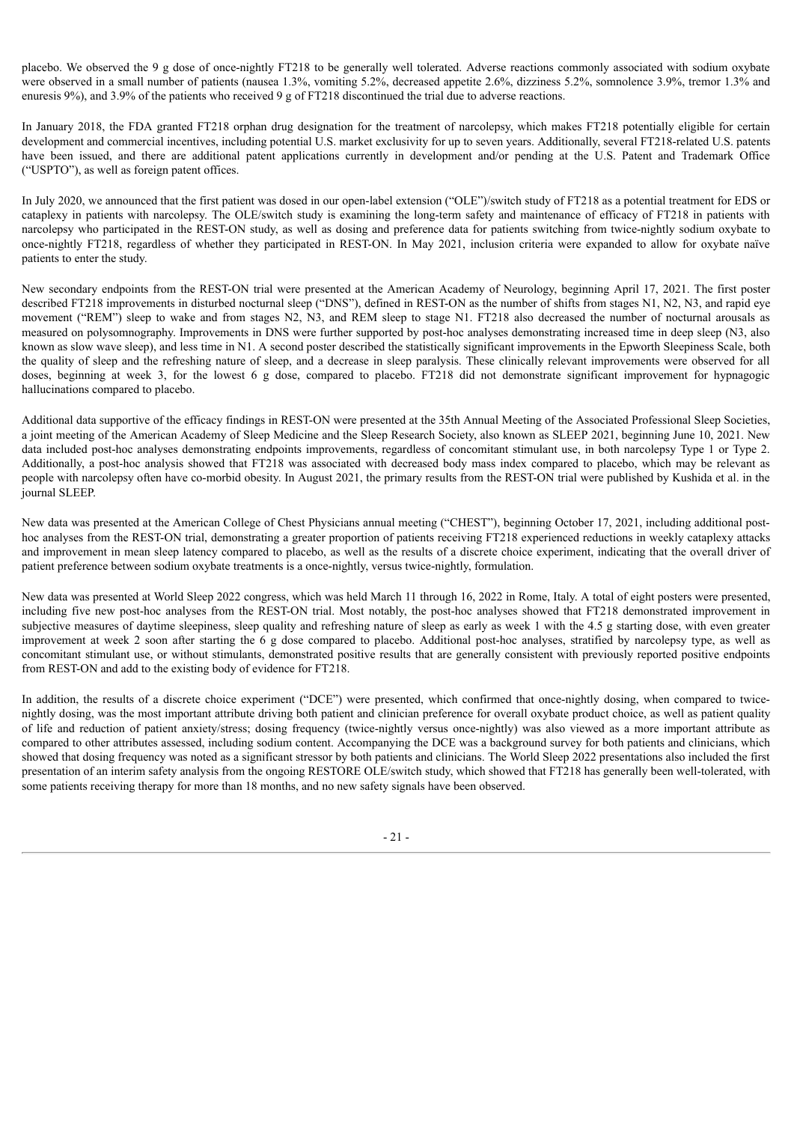placebo. We observed the 9 g dose of once-nightly FT218 to be generally well tolerated. Adverse reactions commonly associated with sodium oxybate were observed in a small number of patients (nausea 1.3%, vomiting 5.2%, decreased appetite 2.6%, dizziness 5.2%, somnolence 3.9%, tremor 1.3% and enuresis 9%), and 3.9% of the patients who received 9 g of FT218 discontinued the trial due to adverse reactions.

In January 2018, the FDA granted FT218 orphan drug designation for the treatment of narcolepsy, which makes FT218 potentially eligible for certain development and commercial incentives, including potential U.S. market exclusivity for up to seven years. Additionally, several FT218-related U.S. patents have been issued, and there are additional patent applications currently in development and/or pending at the U.S. Patent and Trademark Office ("USPTO"), as well as foreign patent offices.

In July 2020, we announced that the first patient was dosed in our open-label extension ("OLE")/switch study of FT218 as a potential treatment for EDS or cataplexy in patients with narcolepsy. The OLE/switch study is examining the long-term safety and maintenance of efficacy of FT218 in patients with narcolepsy who participated in the REST-ON study, as well as dosing and preference data for patients switching from twice-nightly sodium oxybate to once-nightly FT218, regardless of whether they participated in REST-ON. In May 2021, inclusion criteria were expanded to allow for oxybate naïve patients to enter the study.

New secondary endpoints from the REST-ON trial were presented at the American Academy of Neurology, beginning April 17, 2021. The first poster described FT218 improvements in disturbed nocturnal sleep ("DNS"), defined in REST-ON as the number of shifts from stages N1, N2, N3, and rapid eye movement ("REM") sleep to wake and from stages N2, N3, and REM sleep to stage N1. FT218 also decreased the number of nocturnal arousals as measured on polysomnography. Improvements in DNS were further supported by post-hoc analyses demonstrating increased time in deep sleep (N3, also known as slow wave sleep), and less time in N1. A second poster described the statistically significant improvements in the Epworth Sleepiness Scale, both the quality of sleep and the refreshing nature of sleep, and a decrease in sleep paralysis. These clinically relevant improvements were observed for all doses, beginning at week 3, for the lowest 6 g dose, compared to placebo. FT218 did not demonstrate significant improvement for hypnagogic hallucinations compared to placebo.

Additional data supportive of the efficacy findings in REST-ON were presented at the 35th Annual Meeting of the Associated Professional Sleep Societies, a joint meeting of the American Academy of Sleep Medicine and the Sleep Research Society, also known as SLEEP 2021, beginning June 10, 2021. New data included post-hoc analyses demonstrating endpoints improvements, regardless of concomitant stimulant use, in both narcolepsy Type 1 or Type 2. Additionally, a post-hoc analysis showed that FT218 was associated with decreased body mass index compared to placebo, which may be relevant as people with narcolepsy often have co-morbid obesity. In August 2021, the primary results from the REST-ON trial were published by Kushida et al. in the journal SLEEP.

New data was presented at the American College of Chest Physicians annual meeting ("CHEST"), beginning October 17, 2021, including additional posthoc analyses from the REST-ON trial, demonstrating a greater proportion of patients receiving FT218 experienced reductions in weekly cataplexy attacks and improvement in mean sleep latency compared to placebo, as well as the results of a discrete choice experiment, indicating that the overall driver of patient preference between sodium oxybate treatments is a once-nightly, versus twice-nightly, formulation.

New data was presented at World Sleep 2022 congress, which was held March 11 through 16, 2022 in Rome, Italy. A total of eight posters were presented, including five new post-hoc analyses from the REST-ON trial. Most notably, the post-hoc analyses showed that FT218 demonstrated improvement in subjective measures of daytime sleepiness, sleep quality and refreshing nature of sleep as early as week 1 with the 4.5 g starting dose, with even greater improvement at week 2 soon after starting the 6 g dose compared to placebo. Additional post-hoc analyses, stratified by narcolepsy type, as well as concomitant stimulant use, or without stimulants, demonstrated positive results that are generally consistent with previously reported positive endpoints from REST-ON and add to the existing body of evidence for FT218.

In addition, the results of a discrete choice experiment ("DCE") were presented, which confirmed that once-nightly dosing, when compared to twicenightly dosing, was the most important attribute driving both patient and clinician preference for overall oxybate product choice, as well as patient quality of life and reduction of patient anxiety/stress; dosing frequency (twice-nightly versus once-nightly) was also viewed as a more important attribute as compared to other attributes assessed, including sodium content. Accompanying the DCE was a background survey for both patients and clinicians, which showed that dosing frequency was noted as a significant stressor by both patients and clinicians. The World Sleep 2022 presentations also included the first presentation of an interim safety analysis from the ongoing RESTORE OLE/switch study, which showed that FT218 has generally been well-tolerated, with some patients receiving therapy for more than 18 months, and no new safety signals have been observed.

- 21 -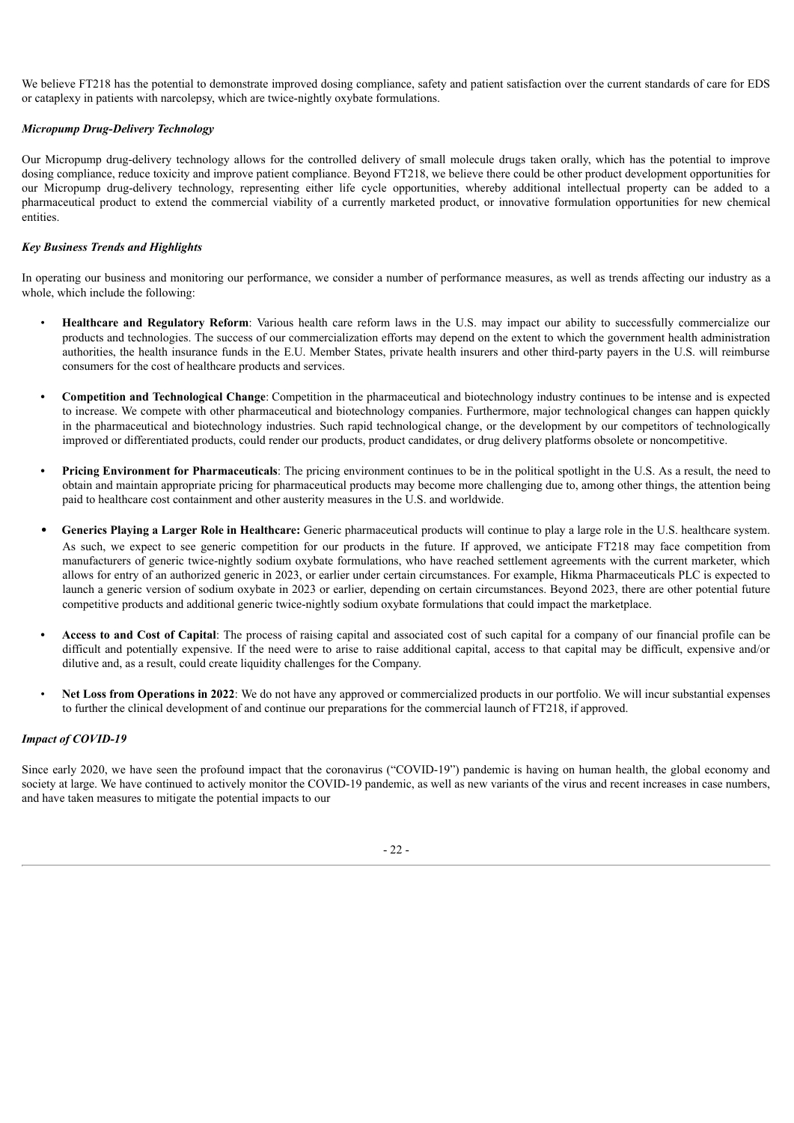We believe FT218 has the potential to demonstrate improved dosing compliance, safety and patient satisfaction over the current standards of care for EDS or cataplexy in patients with narcolepsy, which are twice-nightly oxybate formulations.

### *Micropump Drug-Delivery Technology*

Our Micropump drug-delivery technology allows for the controlled delivery of small molecule drugs taken orally, which has the potential to improve dosing compliance, reduce toxicity and improve patient compliance. Beyond FT218, we believe there could be other product development opportunities for our Micropump drug-delivery technology, representing either life cycle opportunities, whereby additional intellectual property can be added to a pharmaceutical product to extend the commercial viability of a currently marketed product, or innovative formulation opportunities for new chemical entities.

### *Key Business Trends and Highlights*

In operating our business and monitoring our performance, we consider a number of performance measures, as well as trends affecting our industry as a whole, which include the following:

- **Healthcare and Regulatory Reform**: Various health care reform laws in the U.S. may impact our ability to successfully commercialize our products and technologies. The success of our commercialization efforts may depend on the extent to which the government health administration authorities, the health insurance funds in the E.U. Member States, private health insurers and other third-party payers in the U.S. will reimburse consumers for the cost of healthcare products and services.
- **• Competition and Technological Change**: Competition in the pharmaceutical and biotechnology industry continues to be intense and is expected to increase. We compete with other pharmaceutical and biotechnology companies. Furthermore, major technological changes can happen quickly in the pharmaceutical and biotechnology industries. Such rapid technological change, or the development by our competitors of technologically improved or differentiated products, could render our products, product candidates, or drug delivery platforms obsolete or noncompetitive.
- **• Pricing Environment for Pharmaceuticals**: The pricing environment continues to be in the political spotlight in the U.S. As a result, the need to obtain and maintain appropriate pricing for pharmaceutical products may become more challenging due to, among other things, the attention being paid to healthcare cost containment and other austerity measures in the U.S. and worldwide.
- **Generics Playing a Larger Role in Healthcare:** Generic pharmaceutical products will continue to play a large role in the U.S. healthcare system. As such, we expect to see generic competition for our products in the future. If approved, we anticipate FT218 may face competition from manufacturers of generic twice-nightly sodium oxybate formulations, who have reached settlement agreements with the current marketer, which allows for entry of an authorized generic in 2023, or earlier under certain circumstances. For example, Hikma Pharmaceuticals PLC is expected to launch a generic version of sodium oxybate in 2023 or earlier, depending on certain circumstances. Beyond 2023, there are other potential future competitive products and additional generic twice-nightly sodium oxybate formulations that could impact the marketplace.
- **• Access to and Cost of Capital**: The process of raising capital and associated cost of such capital for a company of our financial profile can be difficult and potentially expensive. If the need were to arise to raise additional capital, access to that capital may be difficult, expensive and/or dilutive and, as a result, could create liquidity challenges for the Company.
- **Net Loss from Operations in 2022**: We do not have any approved or commercialized products in our portfolio. We will incur substantial expenses to further the clinical development of and continue our preparations for the commercial launch of FT218, if approved.

### *Impact of COVID-19*

Since early 2020, we have seen the profound impact that the coronavirus ("COVID-19") pandemic is having on human health, the global economy and society at large. We have continued to actively monitor the COVID-19 pandemic, as well as new variants of the virus and recent increases in case numbers, and have taken measures to mitigate the potential impacts to our

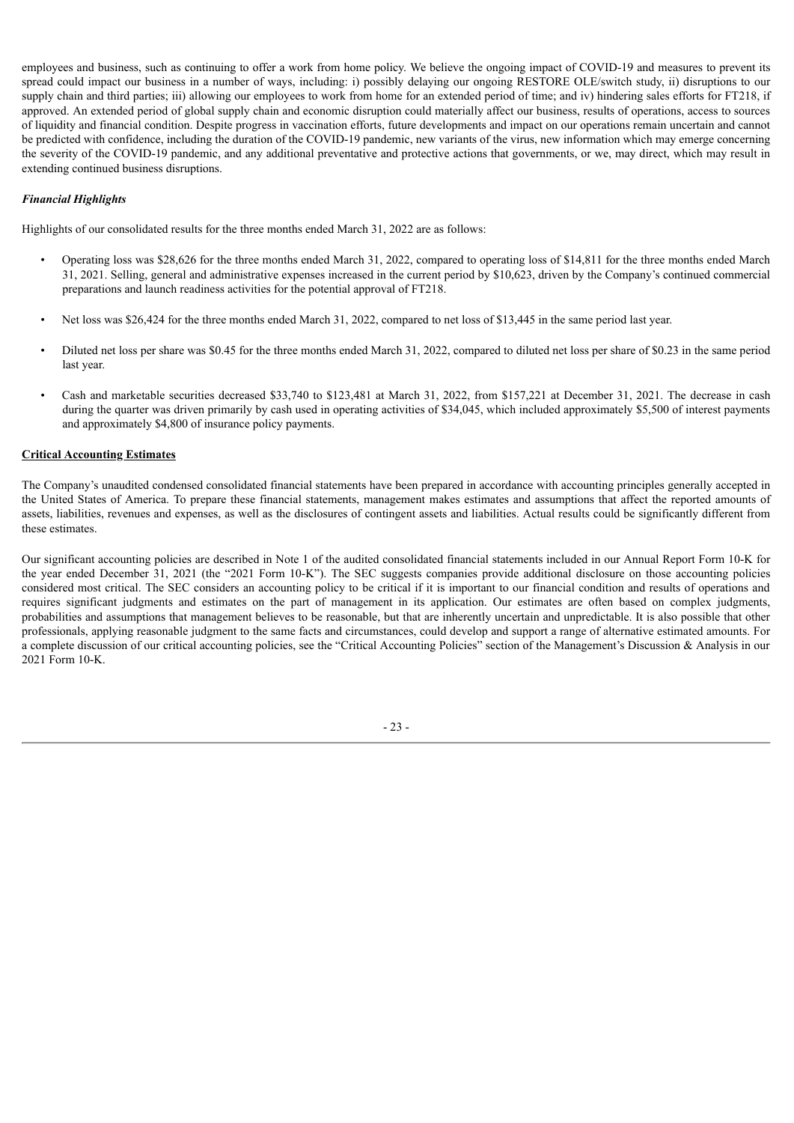employees and business, such as continuing to offer a work from home policy. We believe the ongoing impact of COVID-19 and measures to prevent its spread could impact our business in a number of ways, including: i) possibly delaying our ongoing RESTORE OLE/switch study, ii) disruptions to our supply chain and third parties; iii) allowing our employees to work from home for an extended period of time; and iv) hindering sales efforts for FT218, if approved. An extended period of global supply chain and economic disruption could materially affect our business, results of operations, access to sources of liquidity and financial condition. Despite progress in vaccination efforts, future developments and impact on our operations remain uncertain and cannot be predicted with confidence, including the duration of the COVID-19 pandemic, new variants of the virus, new information which may emerge concerning the severity of the COVID-19 pandemic, and any additional preventative and protective actions that governments, or we, may direct, which may result in extending continued business disruptions.

### *Financial Highlights*

Highlights of our consolidated results for the three months ended March 31, 2022 are as follows:

- Operating loss was \$28,626 for the three months ended March 31, 2022, compared to operating loss of \$14,811 for the three months ended March 31, 2021. Selling, general and administrative expenses increased in the current period by \$10,623, driven by the Company's continued commercial preparations and launch readiness activities for the potential approval of FT218.
- Net loss was \$26,424 for the three months ended March 31, 2022, compared to net loss of \$13,445 in the same period last year.
- Diluted net loss per share was \$0.45 for the three months ended March 31, 2022, compared to diluted net loss per share of \$0.23 in the same period last year.
- Cash and marketable securities decreased \$33,740 to \$123,481 at March 31, 2022, from \$157,221 at December 31, 2021. The decrease in cash during the quarter was driven primarily by cash used in operating activities of \$34,045, which included approximately \$5,500 of interest payments and approximately \$4,800 of insurance policy payments.

### **Critical Accounting Estimates**

The Company's unaudited condensed consolidated financial statements have been prepared in accordance with accounting principles generally accepted in the United States of America. To prepare these financial statements, management makes estimates and assumptions that affect the reported amounts of assets, liabilities, revenues and expenses, as well as the disclosures of contingent assets and liabilities. Actual results could be significantly different from these estimates.

Our significant accounting policies are described in Note 1 of the audited consolidated financial statements included in our Annual Report Form 10-K for the year ended December 31, 2021 (the "2021 Form 10-K"). The SEC suggests companies provide additional disclosure on those accounting policies considered most critical. The SEC considers an accounting policy to be critical if it is important to our financial condition and results of operations and requires significant judgments and estimates on the part of management in its application. Our estimates are often based on complex judgments, probabilities and assumptions that management believes to be reasonable, but that are inherently uncertain and unpredictable. It is also possible that other professionals, applying reasonable judgment to the same facts and circumstances, could develop and support a range of alternative estimated amounts. For a complete discussion of our critical accounting policies, see the "Critical Accounting Policies" section of the Management's Discussion & Analysis in our 2021 Form 10-K.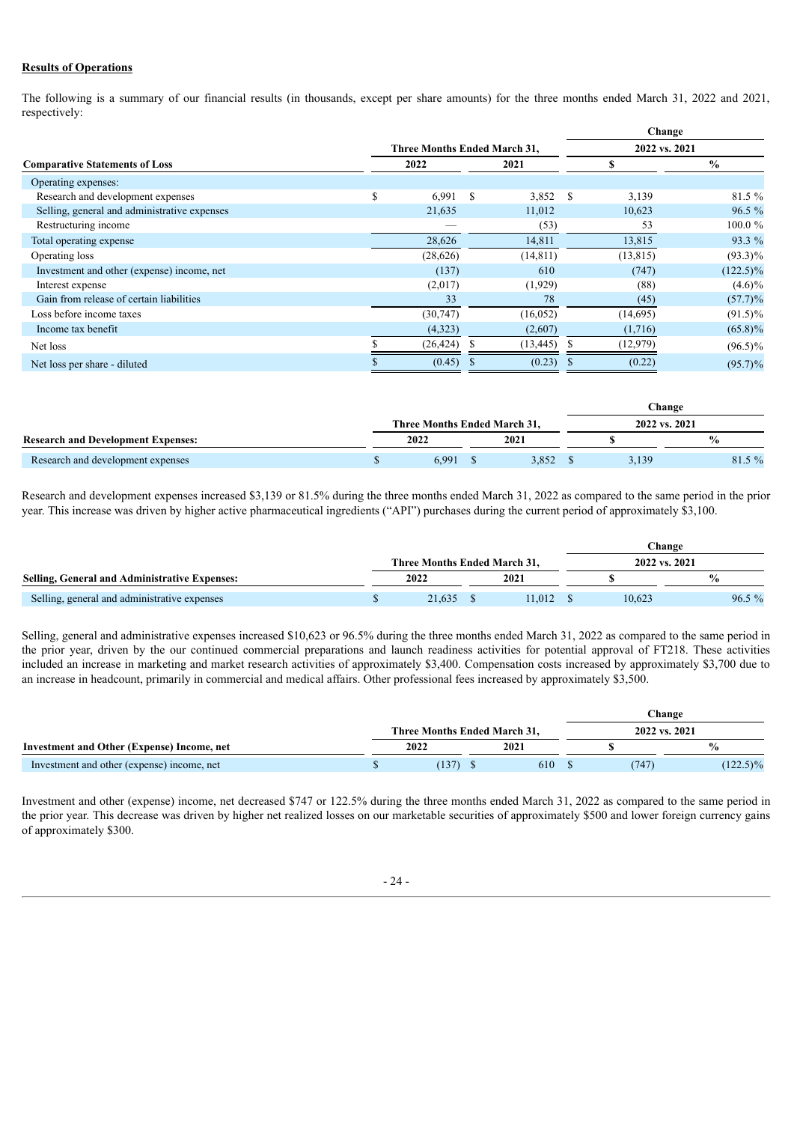### **Results of Operations**

The following is a summary of our financial results (in thousands, except per share amounts) for the three months ended March 31, 2022 and 2021, respectively:

|                                              |                                     |              |               |    | Change    |               |  |
|----------------------------------------------|-------------------------------------|--------------|---------------|----|-----------|---------------|--|
|                                              | <b>Three Months Ended March 31,</b> |              | 2022 vs. 2021 |    |           |               |  |
| <b>Comparative Statements of Loss</b>        | 2022                                |              |               | S  |           | $\frac{0}{0}$ |  |
| Operating expenses:                          |                                     |              |               |    |           |               |  |
| Research and development expenses            | \$<br>6.991                         | S            | 3,852         | \$ | 3,139     | 81.5 %        |  |
| Selling, general and administrative expenses | 21,635                              |              | 11,012        |    | 10,623    | $96.5 \%$     |  |
| Restructuring income                         |                                     |              | (53)          |    | 53        | $100.0 \%$    |  |
| Total operating expense                      | 28,626                              |              | 14,811        |    | 13,815    | 93.3 %        |  |
| Operating loss                               | (28, 626)                           |              | (14, 811)     |    | (13, 815) | $(93.3)\%$    |  |
| Investment and other (expense) income, net   | (137)                               |              | 610           |    | (747)     | $(122.5)\%$   |  |
| Interest expense                             | (2,017)                             |              | (1,929)       |    | (88)      | $(4.6)\%$     |  |
| Gain from release of certain liabilities     | 33                                  |              | 78            |    | (45)      | $(57.7)\%$    |  |
| Loss before income taxes                     | (30, 747)                           |              | (16, 052)     |    | (14,695)  | $(91.5)\%$    |  |
| Income tax benefit                           | (4,323)                             |              | (2,607)       |    | (1,716)   | $(65.8)\%$    |  |
| Net loss                                     | (26, 424)                           | S            | (13, 445)     |    | (12,979)  | $(96.5)\%$    |  |
| Net loss per share - diluted                 | (0.45)                              | <sup>2</sup> | (0.23)        |    | (0.22)    | $(95.7)\%$    |  |

|                                           |                              |       |  |       |               | Change |                |  |  |  |
|-------------------------------------------|------------------------------|-------|--|-------|---------------|--------|----------------|--|--|--|
|                                           | Three Months Ended March 31. |       |  |       | 2022 vs. 2021 |        |                |  |  |  |
| <b>Research and Development Expenses:</b> |                              | 2022  |  | 2021  |               |        | $\frac{6}{10}$ |  |  |  |
| Research and development expenses         |                              | 6.991 |  | 3,852 |               | 3.139  | $81.5\%$       |  |  |  |

Research and development expenses increased \$3,139 or 81.5% during the three months ended March 31, 2022 as compared to the same period in the prior year. This increase was driven by higher active pharmaceutical ingredients ("API") purchases during the current period of approximately \$3,100.

|                                                      |                                     |        | Change        |        |               |  |  |
|------------------------------------------------------|-------------------------------------|--------|---------------|--------|---------------|--|--|
|                                                      | <b>Three Months Ended March 31.</b> |        | 2022 vs. 2021 |        |               |  |  |
| <b>Selling, General and Administrative Expenses:</b> | 2022                                | 2021   |               |        | $\frac{6}{9}$ |  |  |
| Selling, general and administrative expenses         | 21,635                              | 11.012 |               | 10.623 | $96.5\%$      |  |  |

Selling, general and administrative expenses increased \$10,623 or 96.5% during the three months ended March 31, 2022 as compared to the same period in the prior year, driven by the our continued commercial preparations and launch readiness activities for potential approval of FT218. These activities included an increase in marketing and market research activities of approximately \$3,400. Compensation costs increased by approximately \$3,700 due to an increase in headcount, primarily in commercial and medical affairs. Other professional fees increased by approximately \$3,500.

|                                            |                              | Change |  |               |               |  |
|--------------------------------------------|------------------------------|--------|--|---------------|---------------|--|
| Investment and Other (Expense) Income, net | Three Months Ended March 31. |        |  | 2022 vs. 2021 |               |  |
|                                            | 2022                         | 2021   |  |               | $\frac{0}{0}$ |  |
| Investment and other (expense) income, net | (137)                        | 610    |  | 747           | $(122.5)\%$   |  |

Investment and other (expense) income, net decreased \$747 or 122.5% during the three months ended March 31, 2022 as compared to the same period in the prior year. This decrease was driven by higher net realized losses on our marketable securities of approximately \$500 and lower foreign currency gains of approximately \$300.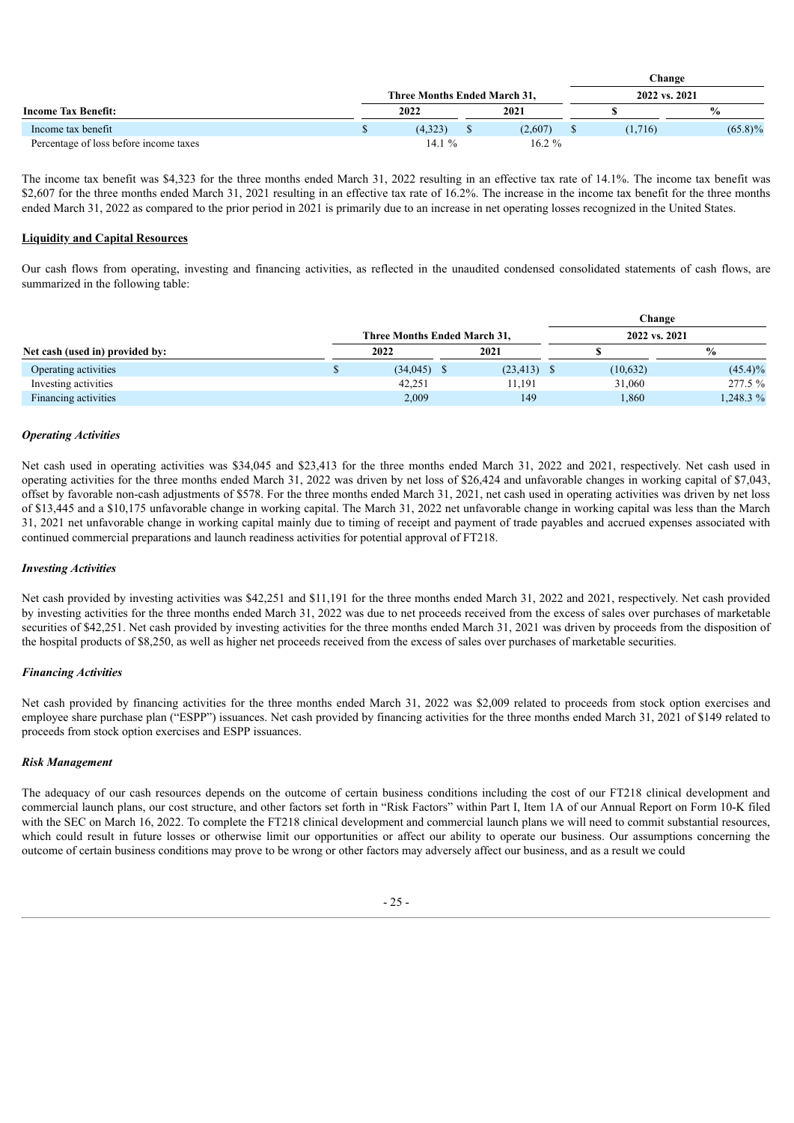|                                        |                              |  |               | Change  |                |  |  |
|----------------------------------------|------------------------------|--|---------------|---------|----------------|--|--|
|                                        | Three Months Ended March 31. |  | 2022 vs. 2021 |         |                |  |  |
| <b>Income Tax Benefit:</b>             | 2022                         |  | 2021          |         | $\frac{6}{10}$ |  |  |
| Income tax benefit                     | (4.323)                      |  | (2,607)       | (1.716) | $(65.8)\%$     |  |  |
| Percentage of loss before income taxes | 14 1 $\%$                    |  | $16.2 \%$     |         |                |  |  |

The income tax benefit was \$4,323 for the three months ended March 31, 2022 resulting in an effective tax rate of 14.1%. The income tax benefit was \$2,607 for the three months ended March 31, 2021 resulting in an effective tax rate of 16.2%. The increase in the income tax benefit for the three months ended March 31, 2022 as compared to the prior period in 2021 is primarily due to an increase in net operating losses recognized in the United States.

### **Liquidity and Capital Resources**

Our cash flows from operating, investing and financing activities, as reflected in the unaudited condensed consolidated statements of cash flows, are summarized in the following table:

|                                 |                              |  |           | Change |               |               |  |
|---------------------------------|------------------------------|--|-----------|--------|---------------|---------------|--|
|                                 | Three Months Ended March 31, |  |           |        | 2022 vs. 2021 |               |  |
| Net cash (used in) provided by: | 2022                         |  | 2021      |        |               | $\frac{0}{0}$ |  |
| Operating activities            | $(34,045)$ \$                |  | (23, 413) |        | (10,632)      | $(45.4)\%$    |  |
| Investing activities            | 42,251                       |  | 11,191    |        | 31,060        | 277.5 %       |  |
| Financing activities            | 2,009                        |  | 149       |        | 1,860         | 1,248.3 %     |  |

### *Operating Activities*

Net cash used in operating activities was \$34,045 and \$23,413 for the three months ended March 31, 2022 and 2021, respectively. Net cash used in operating activities for the three months ended March 31, 2022 was driven by net loss of \$26,424 and unfavorable changes in working capital of \$7,043, offset by favorable non-cash adjustments of \$578. For the three months ended March 31, 2021, net cash used in operating activities was driven by net loss of \$13,445 and a \$10,175 unfavorable change in working capital. The March 31, 2022 net unfavorable change in working capital was less than the March 31, 2021 net unfavorable change in working capital mainly due to timing of receipt and payment of trade payables and accrued expenses associated with continued commercial preparations and launch readiness activities for potential approval of FT218.

### *Investing Activities*

Net cash provided by investing activities was \$42,251 and \$11,191 for the three months ended March 31, 2022 and 2021, respectively. Net cash provided by investing activities for the three months ended March 31, 2022 was due to net proceeds received from the excess of sales over purchases of marketable securities of \$42,251. Net cash provided by investing activities for the three months ended March 31, 2021 was driven by proceeds from the disposition of the hospital products of \$8,250, as well as higher net proceeds received from the excess of sales over purchases of marketable securities.

### *Financing Activities*

Net cash provided by financing activities for the three months ended March 31, 2022 was \$2,009 related to proceeds from stock option exercises and employee share purchase plan ("ESPP") issuances. Net cash provided by financing activities for the three months ended March 31, 2021 of \$149 related to proceeds from stock option exercises and ESPP issuances.

### *Risk Management*

The adequacy of our cash resources depends on the outcome of certain business conditions including the cost of our FT218 clinical development and commercial launch plans, our cost structure, and other factors set forth in "Risk Factors" within Part I, Item 1A of our Annual Report on Form 10-K filed with the SEC on March 16, 2022. To complete the FT218 clinical development and commercial launch plans we will need to commit substantial resources, which could result in future losses or otherwise limit our opportunities or affect our ability to operate our business. Our assumptions concerning the outcome of certain business conditions may prove to be wrong or other factors may adversely affect our business, and as a result we could

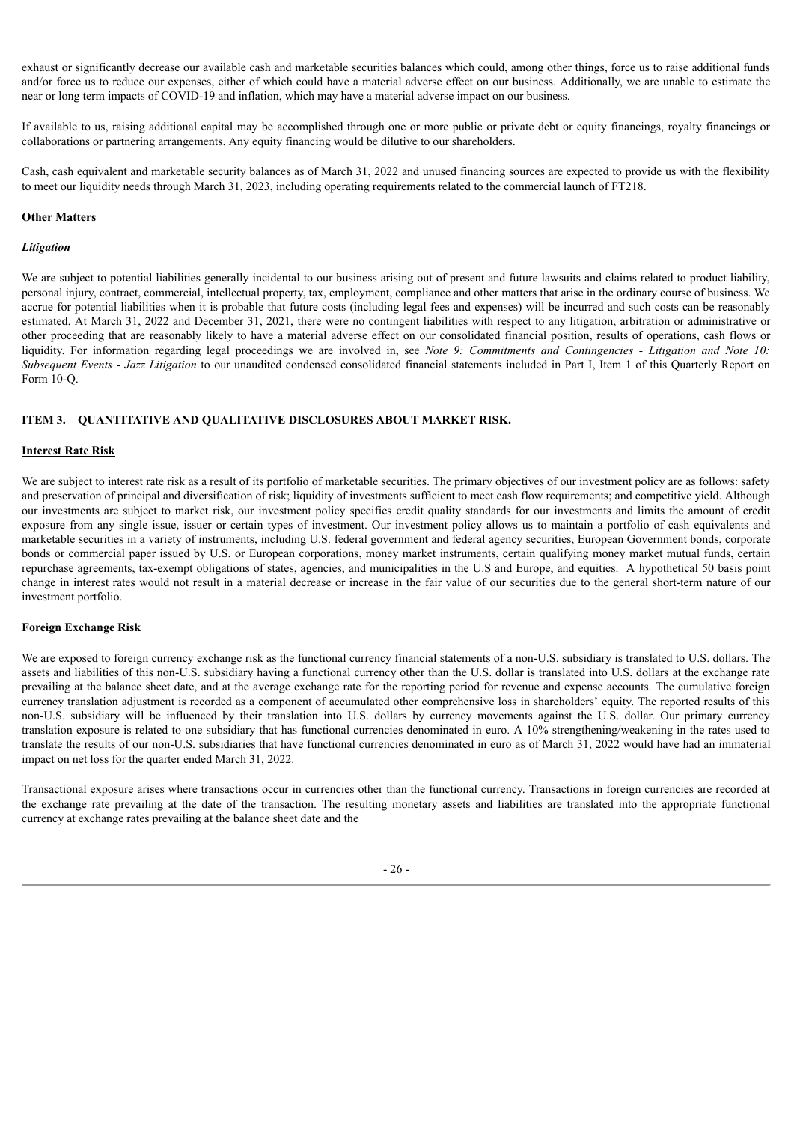exhaust or significantly decrease our available cash and marketable securities balances which could, among other things, force us to raise additional funds and/or force us to reduce our expenses, either of which could have a material adverse effect on our business. Additionally, we are unable to estimate the near or long term impacts of COVID-19 and inflation, which may have a material adverse impact on our business.

If available to us, raising additional capital may be accomplished through one or more public or private debt or equity financings, royalty financings or collaborations or partnering arrangements. Any equity financing would be dilutive to our shareholders.

Cash, cash equivalent and marketable security balances as of March 31, 2022 and unused financing sources are expected to provide us with the flexibility to meet our liquidity needs through March 31, 2023, including operating requirements related to the commercial launch of FT218.

### **Other Matters**

#### *Litigation*

We are subject to potential liabilities generally incidental to our business arising out of present and future lawsuits and claims related to product liability, personal injury, contract, commercial, intellectual property, tax, employment, compliance and other matters that arise in the ordinary course of business. We accrue for potential liabilities when it is probable that future costs (including legal fees and expenses) will be incurred and such costs can be reasonably estimated. At March 31, 2022 and December 31, 2021, there were no contingent liabilities with respect to any litigation, arbitration or administrative or other proceeding that are reasonably likely to have a material adverse effect on our consolidated financial position, results of operations, cash flows or liquidity. For information regarding legal proceedings we are involved in, see *Note 9: Commitments and Contingencies - Litigation and Note 10: Subsequent Events - Jazz Litigation* to our unaudited condensed consolidated financial statements included in Part I, Item 1 of this Quarterly Report on Form 10-Q.

#### <span id="page-26-0"></span>**ITEM 3. QUANTITATIVE AND QUALITATIVE DISCLOSURES ABOUT MARKET RISK.**

#### **Interest Rate Risk**

We are subject to interest rate risk as a result of its portfolio of marketable securities. The primary objectives of our investment policy are as follows: safety and preservation of principal and diversification of risk; liquidity of investments sufficient to meet cash flow requirements; and competitive yield. Although our investments are subject to market risk, our investment policy specifies credit quality standards for our investments and limits the amount of credit exposure from any single issue, issuer or certain types of investment. Our investment policy allows us to maintain a portfolio of cash equivalents and marketable securities in a variety of instruments, including U.S. federal government and federal agency securities, European Government bonds, corporate bonds or commercial paper issued by U.S. or European corporations, money market instruments, certain qualifying money market mutual funds, certain repurchase agreements, tax-exempt obligations of states, agencies, and municipalities in the U.S and Europe, and equities. A hypothetical 50 basis point change in interest rates would not result in a material decrease or increase in the fair value of our securities due to the general short-term nature of our investment portfolio.

#### **Foreign Exchange Risk**

We are exposed to foreign currency exchange risk as the functional currency financial statements of a non-U.S. subsidiary is translated to U.S. dollars. The assets and liabilities of this non-U.S. subsidiary having a functional currency other than the U.S. dollar is translated into U.S. dollars at the exchange rate prevailing at the balance sheet date, and at the average exchange rate for the reporting period for revenue and expense accounts. The cumulative foreign currency translation adjustment is recorded as a component of accumulated other comprehensive loss in shareholders' equity. The reported results of this non-U.S. subsidiary will be influenced by their translation into U.S. dollars by currency movements against the U.S. dollar. Our primary currency translation exposure is related to one subsidiary that has functional currencies denominated in euro. A 10% strengthening/weakening in the rates used to translate the results of our non-U.S. subsidiaries that have functional currencies denominated in euro as of March 31, 2022 would have had an immaterial impact on net loss for the quarter ended March 31, 2022.

Transactional exposure arises where transactions occur in currencies other than the functional currency. Transactions in foreign currencies are recorded at the exchange rate prevailing at the date of the transaction. The resulting monetary assets and liabilities are translated into the appropriate functional currency at exchange rates prevailing at the balance sheet date and the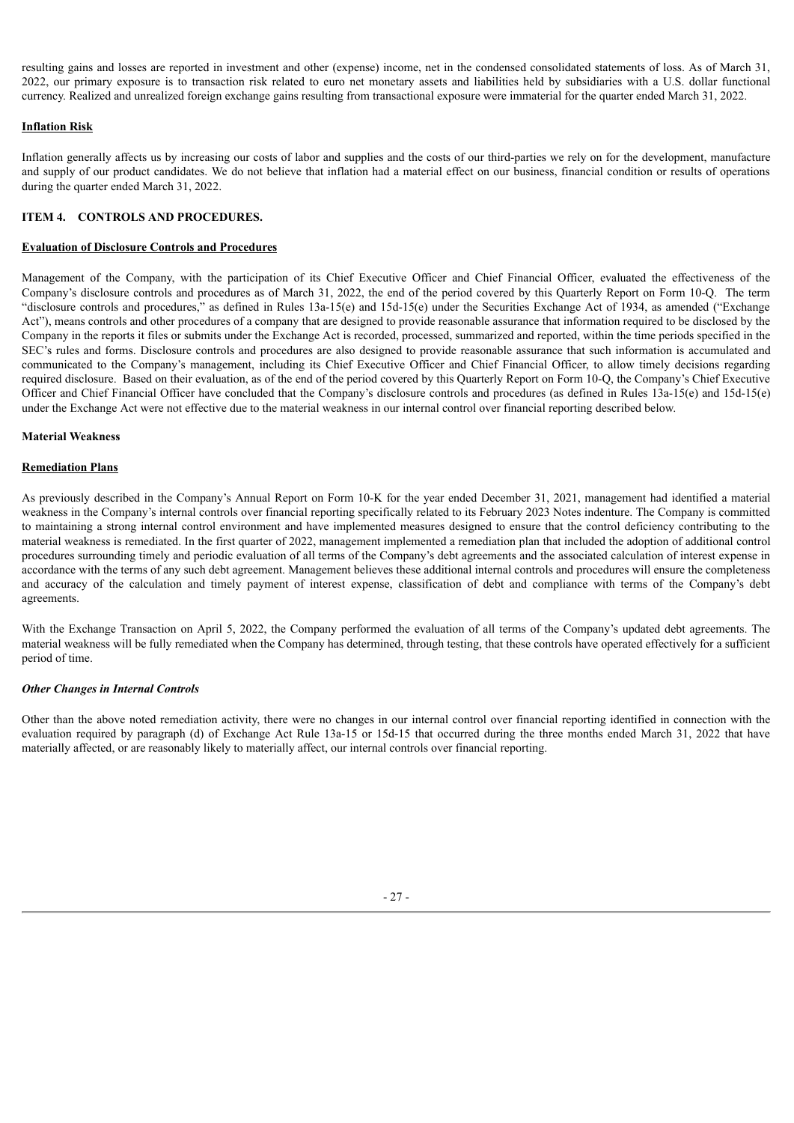resulting gains and losses are reported in investment and other (expense) income, net in the condensed consolidated statements of loss. As of March 31, 2022, our primary exposure is to transaction risk related to euro net monetary assets and liabilities held by subsidiaries with a U.S. dollar functional currency. Realized and unrealized foreign exchange gains resulting from transactional exposure were immaterial for the quarter ended March 31, 2022.

### **Inflation Risk**

Inflation generally affects us by increasing our costs of labor and supplies and the costs of our third-parties we rely on for the development, manufacture and supply of our product candidates. We do not believe that inflation had a material effect on our business, financial condition or results of operations during the quarter ended March 31, 2022.

### <span id="page-27-0"></span>**ITEM 4. CONTROLS AND PROCEDURES.**

#### **Evaluation of Disclosure Controls and Procedures**

Management of the Company, with the participation of its Chief Executive Officer and Chief Financial Officer, evaluated the effectiveness of the Company's disclosure controls and procedures as of March 31, 2022, the end of the period covered by this Quarterly Report on Form 10-Q. The term "disclosure controls and procedures," as defined in Rules 13a-15(e) and 15d-15(e) under the Securities Exchange Act of 1934, as amended ("Exchange Act"), means controls and other procedures of a company that are designed to provide reasonable assurance that information required to be disclosed by the Company in the reports it files or submits under the Exchange Act is recorded, processed, summarized and reported, within the time periods specified in the SEC's rules and forms. Disclosure controls and procedures are also designed to provide reasonable assurance that such information is accumulated and communicated to the Company's management, including its Chief Executive Officer and Chief Financial Officer, to allow timely decisions regarding required disclosure. Based on their evaluation, as of the end of the period covered by this Quarterly Report on Form 10-Q, the Company's Chief Executive Officer and Chief Financial Officer have concluded that the Company's disclosure controls and procedures (as defined in Rules 13a-15(e) and 15d-15(e) under the Exchange Act were not effective due to the material weakness in our internal control over financial reporting described below.

#### **Material Weakness**

#### **Remediation Plans**

As previously described in the Company's Annual Report on Form 10-K for the year ended December 31, 2021, management had identified a material weakness in the Company's internal controls over financial reporting specifically related to its February 2023 Notes indenture. The Company is committed to maintaining a strong internal control environment and have implemented measures designed to ensure that the control deficiency contributing to the material weakness is remediated. In the first quarter of 2022, management implemented a remediation plan that included the adoption of additional control procedures surrounding timely and periodic evaluation of all terms of the Company's debt agreements and the associated calculation of interest expense in accordance with the terms of any such debt agreement. Management believes these additional internal controls and procedures will ensure the completeness and accuracy of the calculation and timely payment of interest expense, classification of debt and compliance with terms of the Company's debt agreements.

With the Exchange Transaction on April 5, 2022, the Company performed the evaluation of all terms of the Company's updated debt agreements. The material weakness will be fully remediated when the Company has determined, through testing, that these controls have operated effectively for a sufficient period of time.

### *Other Changes in Internal Controls*

<span id="page-27-1"></span>Other than the above noted remediation activity, there were no changes in our internal control over financial reporting identified in connection with the evaluation required by paragraph (d) of Exchange Act Rule 13a-15 or 15d-15 that occurred during the three months ended March 31, 2022 that have materially affected, or are reasonably likely to materially affect, our internal controls over financial reporting.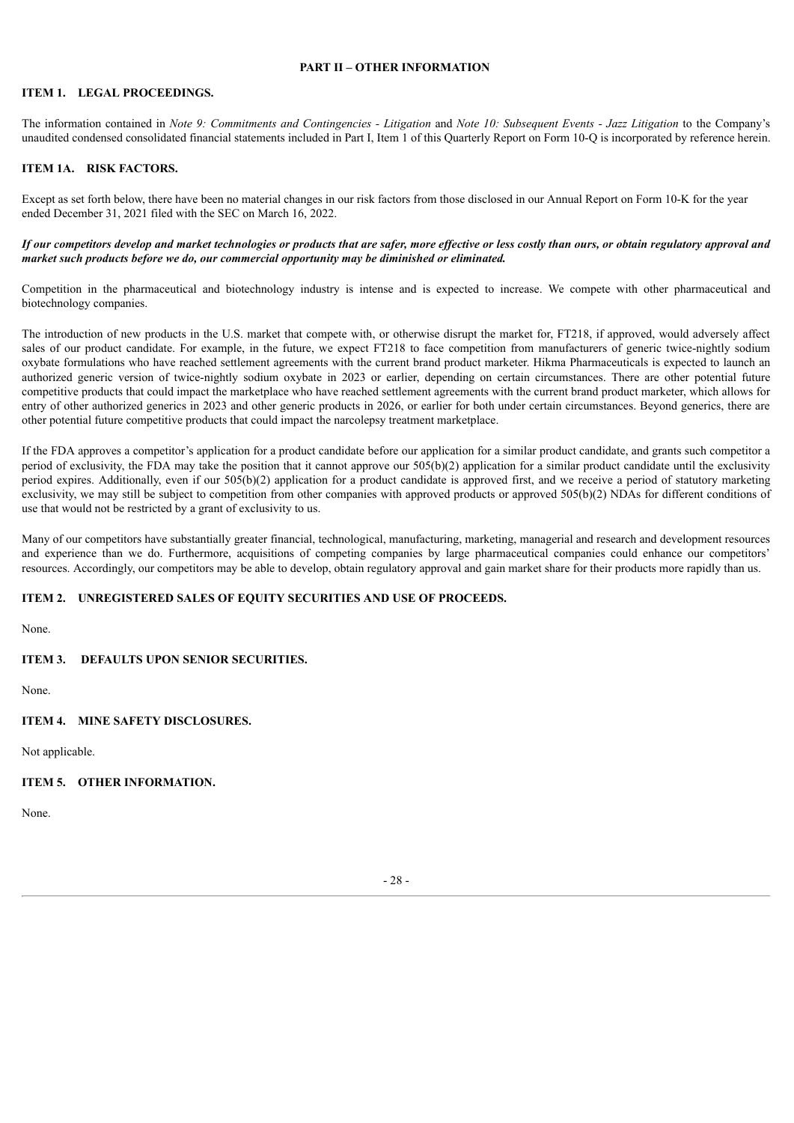### **PART II – OTHER INFORMATION**

### <span id="page-28-0"></span>**ITEM 1. LEGAL PROCEEDINGS.**

The information contained in Note 9: Commitments and Contingencies - Litigation and Note 10: Subsequent Events - Jazz Litigation to the Company's unaudited condensed consolidated financial statements included in Part I, Item 1 of this Quarterly Report on Form 10-Q is incorporated by reference herein.

### <span id="page-28-1"></span>**ITEM 1A. RISK FACTORS.**

Except as set forth below, there have been no material changes in our risk factors from those disclosed in our Annual Report on Form 10-K for the year ended December 31, 2021 filed with the SEC on March 16, 2022.

### If our competitors develop and market technologies or products that are safer, more effective or less costly than ours, or obtain regulatory approval and *market such products before we do, our commercial opportunity may be diminished or eliminated.*

Competition in the pharmaceutical and biotechnology industry is intense and is expected to increase. We compete with other pharmaceutical and biotechnology companies.

The introduction of new products in the U.S. market that compete with, or otherwise disrupt the market for, FT218, if approved, would adversely affect sales of our product candidate. For example, in the future, we expect FT218 to face competition from manufacturers of generic twice-nightly sodium oxybate formulations who have reached settlement agreements with the current brand product marketer. Hikma Pharmaceuticals is expected to launch an authorized generic version of twice-nightly sodium oxybate in 2023 or earlier, depending on certain circumstances. There are other potential future competitive products that could impact the marketplace who have reached settlement agreements with the current brand product marketer, which allows for entry of other authorized generics in 2023 and other generic products in 2026, or earlier for both under certain circumstances. Beyond generics, there are other potential future competitive products that could impact the narcolepsy treatment marketplace.

If the FDA approves a competitor's application for a product candidate before our application for a similar product candidate, and grants such competitor a period of exclusivity, the FDA may take the position that it cannot approve our 505(b)(2) application for a similar product candidate until the exclusivity period expires. Additionally, even if our 505(b)(2) application for a product candidate is approved first, and we receive a period of statutory marketing exclusivity, we may still be subject to competition from other companies with approved products or approved 505(b)(2) NDAs for different conditions of use that would not be restricted by a grant of exclusivity to us.

Many of our competitors have substantially greater financial, technological, manufacturing, marketing, managerial and research and development resources and experience than we do. Furthermore, acquisitions of competing companies by large pharmaceutical companies could enhance our competitors' resources. Accordingly, our competitors may be able to develop, obtain regulatory approval and gain market share for their products more rapidly than us.

### <span id="page-28-2"></span>**ITEM 2. UNREGISTERED SALES OF EQUITY SECURITIES AND USE OF PROCEEDS.**

None.

### <span id="page-28-3"></span>**ITEM 3. DEFAULTS UPON SENIOR SECURITIES.**

None.

### <span id="page-28-4"></span>**ITEM 4. MINE SAFETY DISCLOSURES.**

Not applicable.

### <span id="page-28-5"></span>**ITEM 5. OTHER INFORMATION.**

<span id="page-28-6"></span>None.

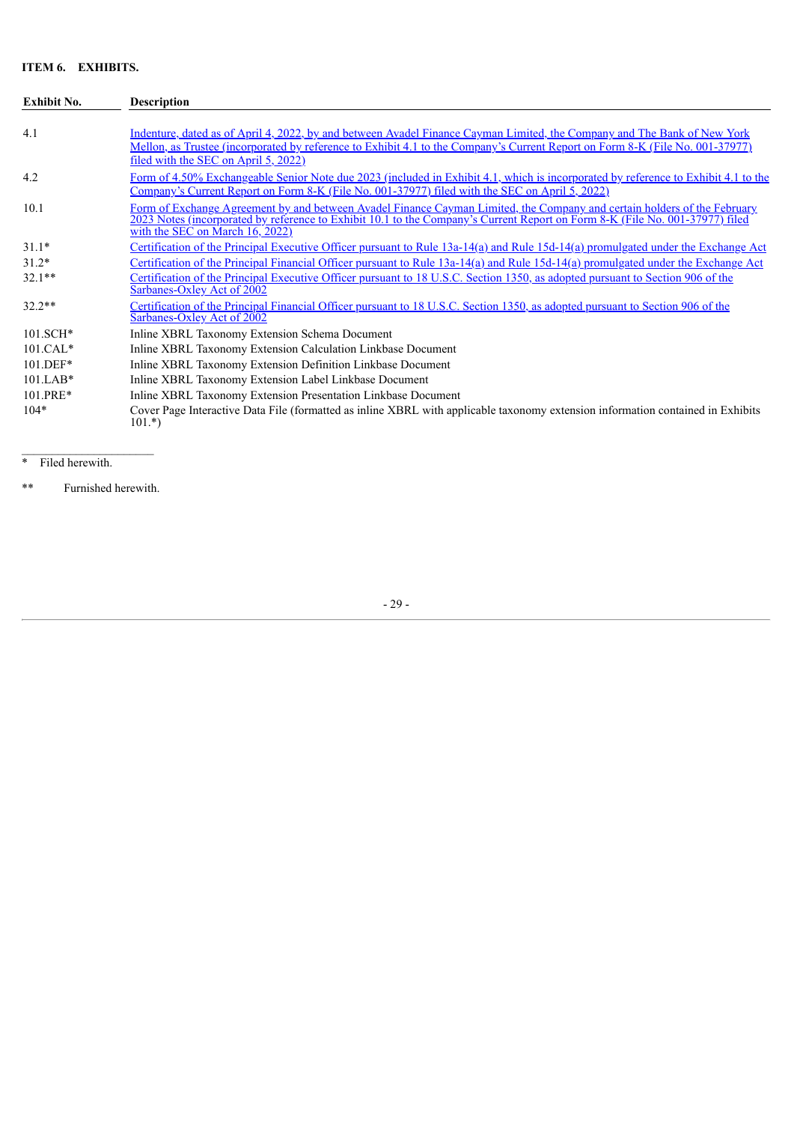# **ITEM 6. EXHIBITS.**

| <b>Exhibit No.</b> | <b>Description</b>                                                                                                                                                                                                                                                                                |
|--------------------|---------------------------------------------------------------------------------------------------------------------------------------------------------------------------------------------------------------------------------------------------------------------------------------------------|
| 4.1                | Indenture, dated as of April 4, 2022, by and between Avadel Finance Cayman Limited, the Company and The Bank of New York<br>Mellon, as Trustee (incorporated by reference to Exhibit 4.1 to the Company's Current Report on Form 8-K (File No. 001-37977)<br>filed with the SEC on April 5, 2022) |
| 4.2                | Form of 4.50% Exchangeable Senior Note due 2023 (included in Exhibit 4.1, which is incorporated by reference to Exhibit 4.1 to the<br><u>Company's Current Report on Form 8-K (File No. 001-37977) filed with the SEC on April 5, 2022)</u>                                                       |
| 10.1               | Form of Exchange Agreement by and between Avadel Finance Cayman Limited, the Company and certain holders of the February<br>2023 Notes (incorporated by reference to Exhibit 10.1 to the Company's Current Report on Form 8-K (File No. 001-37977) filed<br>with the SEC on March 16, 2022)       |
| $31.1*$            | Certification of the Principal Executive Officer pursuant to Rule 13a-14(a) and Rule 15d-14(a) promulgated under the Exchange Act                                                                                                                                                                 |
| $31.2*$            | Certification of the Principal Financial Officer pursuant to Rule 13a-14(a) and Rule 15d-14(a) promulgated under the Exchange Act                                                                                                                                                                 |
| $32.1**$           | Certification of the Principal Executive Officer pursuant to 18 U.S.C. Section 1350, as adopted pursuant to Section 906 of the<br><b>Sarbanes-Oxley Act of 2002</b>                                                                                                                               |
| $32.2**$           | Certification of the Principal Financial Officer pursuant to 18 U.S.C. Section 1350, as adopted pursuant to Section 906 of the<br>Sarbanes-Oxley Act of 2002                                                                                                                                      |
| $101.SCH*$         | Inline XBRL Taxonomy Extension Schema Document                                                                                                                                                                                                                                                    |
| $101.CAL*$         | Inline XBRL Taxonomy Extension Calculation Linkbase Document                                                                                                                                                                                                                                      |
| 101.DEF*           | Inline XBRL Taxonomy Extension Definition Linkbase Document                                                                                                                                                                                                                                       |
| $101.LAB*$         | Inline XBRL Taxonomy Extension Label Linkbase Document                                                                                                                                                                                                                                            |
| 101.PRE*           | Inline XBRL Taxonomy Extension Presentation Linkbase Document                                                                                                                                                                                                                                     |
| $104*$             | Cover Page Interactive Data File (formatted as inline XBRL with applicable taxonomy extension information contained in Exhibits<br>$101.*$ )                                                                                                                                                      |

\* Filed herewith.

\*\* Furnished herewith.

 $\mathcal{L}_\text{max}$ 

- 29 -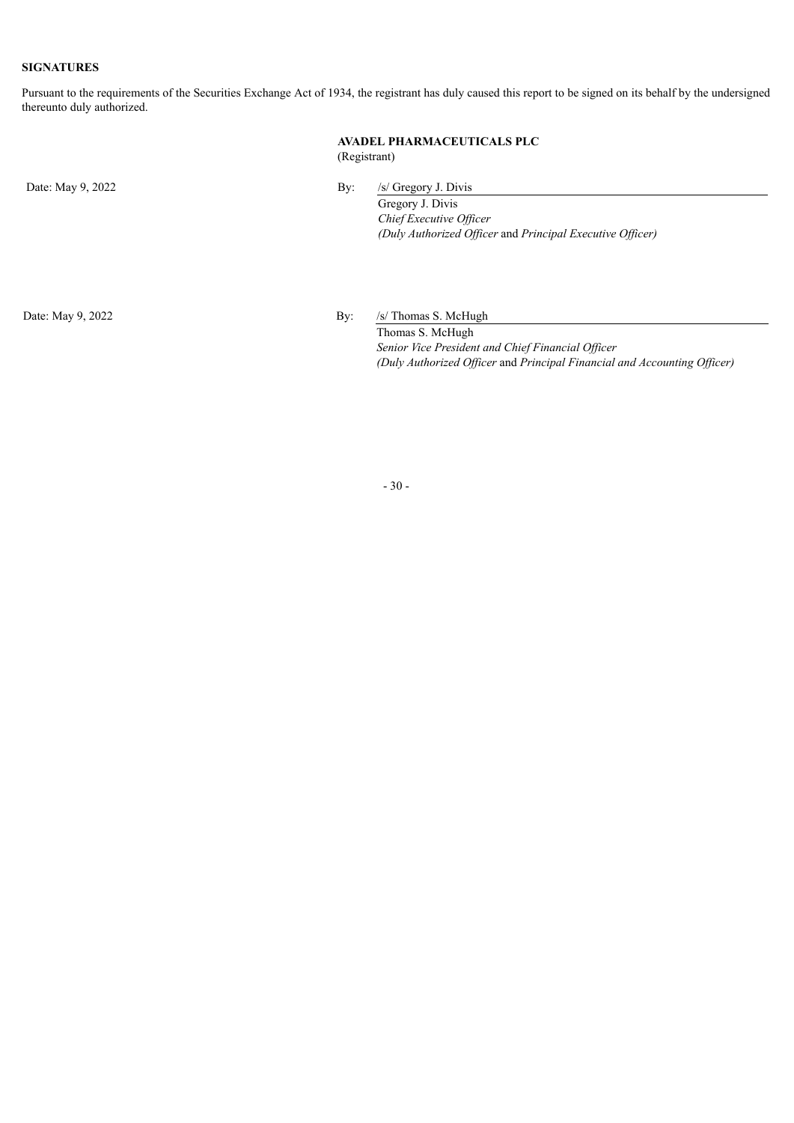### **SIGNATURES**

Pursuant to the requirements of the Securities Exchange Act of 1934, the registrant has duly caused this report to be signed on its behalf by the undersigned thereunto duly authorized.

### **AVADEL PHARMACEUTICALS PLC** (Registrant)

Date: May 9, 2022 By: /s/ Gregory J. Divis

Gregory J. Divis *Chief Executive Of icer (Duly Authorized Of icer* and *Principal Executive Of icer)*

Date: May 9, 2022 By: /s/ Thomas S. McHugh

Thomas S. McHugh *Senior Vice President and Chief Financial Of icer (Duly Authorized Of icer* and *Principal Financial and Accounting Of icer)*

- 30 -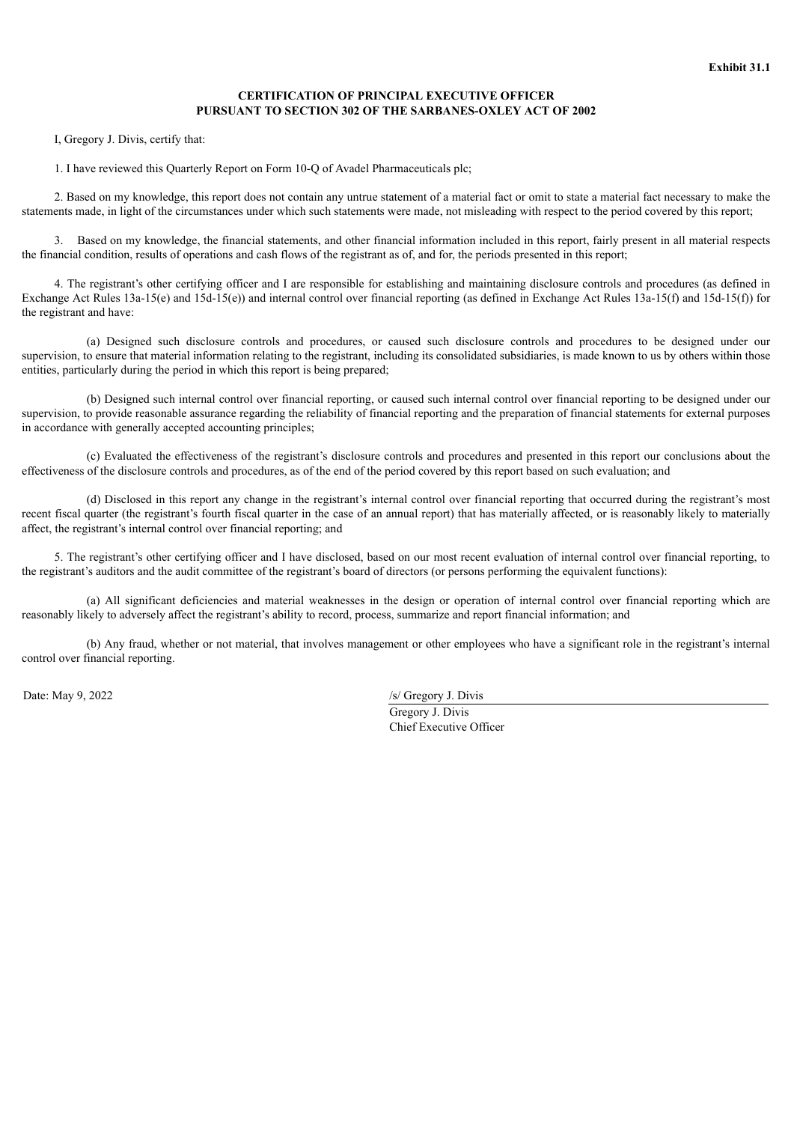### **CERTIFICATION OF PRINCIPAL EXECUTIVE OFFICER PURSUANT TO SECTION 302 OF THE SARBANES-OXLEY ACT OF 2002**

<span id="page-31-0"></span>I, Gregory J. Divis, certify that:

1. I have reviewed this Quarterly Report on Form 10-Q of Avadel Pharmaceuticals plc;

2. Based on my knowledge, this report does not contain any untrue statement of a material fact or omit to state a material fact necessary to make the statements made, in light of the circumstances under which such statements were made, not misleading with respect to the period covered by this report;

3. Based on my knowledge, the financial statements, and other financial information included in this report, fairly present in all material respects the financial condition, results of operations and cash flows of the registrant as of, and for, the periods presented in this report;

4. The registrant's other certifying officer and I are responsible for establishing and maintaining disclosure controls and procedures (as defined in Exchange Act Rules 13a-15(e) and 15d-15(e)) and internal control over financial reporting (as defined in Exchange Act Rules 13a-15(f) and 15d-15(f)) for the registrant and have:

(a) Designed such disclosure controls and procedures, or caused such disclosure controls and procedures to be designed under our supervision, to ensure that material information relating to the registrant, including its consolidated subsidiaries, is made known to us by others within those entities, particularly during the period in which this report is being prepared;

(b) Designed such internal control over financial reporting, or caused such internal control over financial reporting to be designed under our supervision, to provide reasonable assurance regarding the reliability of financial reporting and the preparation of financial statements for external purposes in accordance with generally accepted accounting principles;

(c) Evaluated the effectiveness of the registrant's disclosure controls and procedures and presented in this report our conclusions about the effectiveness of the disclosure controls and procedures, as of the end of the period covered by this report based on such evaluation; and

(d) Disclosed in this report any change in the registrant's internal control over financial reporting that occurred during the registrant's most recent fiscal quarter (the registrant's fourth fiscal quarter in the case of an annual report) that has materially affected, or is reasonably likely to materially affect, the registrant's internal control over financial reporting; and

5. The registrant's other certifying officer and I have disclosed, based on our most recent evaluation of internal control over financial reporting, to the registrant's auditors and the audit committee of the registrant's board of directors (or persons performing the equivalent functions):

(a) All significant deficiencies and material weaknesses in the design or operation of internal control over financial reporting which are reasonably likely to adversely affect the registrant's ability to record, process, summarize and report financial information; and

(b) Any fraud, whether or not material, that involves management or other employees who have a significant role in the registrant's internal control over financial reporting.

Date: May 9, 2022 /s/ Gregory J. Divis

Gregory J. Divis Chief Executive Officer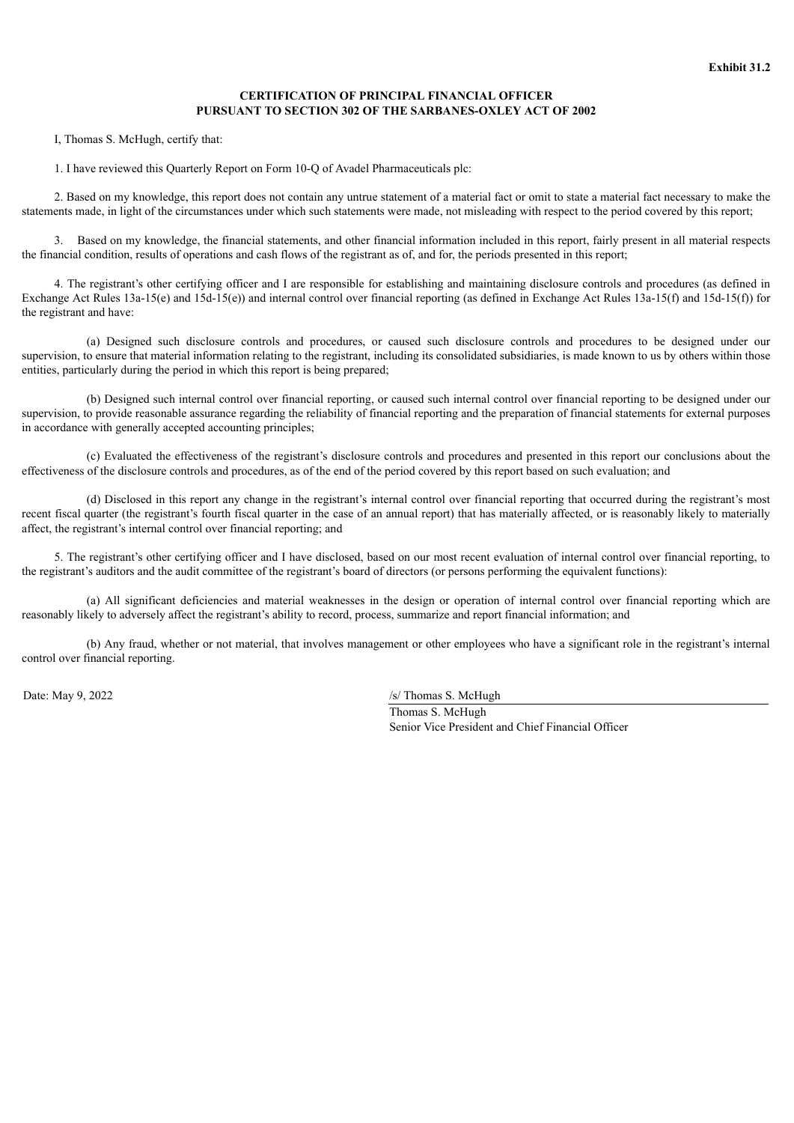### **CERTIFICATION OF PRINCIPAL FINANCIAL OFFICER PURSUANT TO SECTION 302 OF THE SARBANES-OXLEY ACT OF 2002**

<span id="page-32-0"></span>I, Thomas S. McHugh, certify that:

1. I have reviewed this Quarterly Report on Form 10-Q of Avadel Pharmaceuticals plc:

2. Based on my knowledge, this report does not contain any untrue statement of a material fact or omit to state a material fact necessary to make the statements made, in light of the circumstances under which such statements were made, not misleading with respect to the period covered by this report;

3. Based on my knowledge, the financial statements, and other financial information included in this report, fairly present in all material respects the financial condition, results of operations and cash flows of the registrant as of, and for, the periods presented in this report;

4. The registrant's other certifying officer and I are responsible for establishing and maintaining disclosure controls and procedures (as defined in Exchange Act Rules 13a-15(e) and 15d-15(e)) and internal control over financial reporting (as defined in Exchange Act Rules 13a-15(f) and 15d-15(f)) for the registrant and have:

(a) Designed such disclosure controls and procedures, or caused such disclosure controls and procedures to be designed under our supervision, to ensure that material information relating to the registrant, including its consolidated subsidiaries, is made known to us by others within those entities, particularly during the period in which this report is being prepared;

(b) Designed such internal control over financial reporting, or caused such internal control over financial reporting to be designed under our supervision, to provide reasonable assurance regarding the reliability of financial reporting and the preparation of financial statements for external purposes in accordance with generally accepted accounting principles;

(c) Evaluated the effectiveness of the registrant's disclosure controls and procedures and presented in this report our conclusions about the effectiveness of the disclosure controls and procedures, as of the end of the period covered by this report based on such evaluation; and

(d) Disclosed in this report any change in the registrant's internal control over financial reporting that occurred during the registrant's most recent fiscal quarter (the registrant's fourth fiscal quarter in the case of an annual report) that has materially affected, or is reasonably likely to materially affect, the registrant's internal control over financial reporting; and

5. The registrant's other certifying officer and I have disclosed, based on our most recent evaluation of internal control over financial reporting, to the registrant's auditors and the audit committee of the registrant's board of directors (or persons performing the equivalent functions):

(a) All significant deficiencies and material weaknesses in the design or operation of internal control over financial reporting which are reasonably likely to adversely affect the registrant's ability to record, process, summarize and report financial information; and

(b) Any fraud, whether or not material, that involves management or other employees who have a significant role in the registrant's internal control over financial reporting.

Date: May 9, 2022 /s/ Thomas S. McHugh

Thomas S. McHugh Senior Vice President and Chief Financial Officer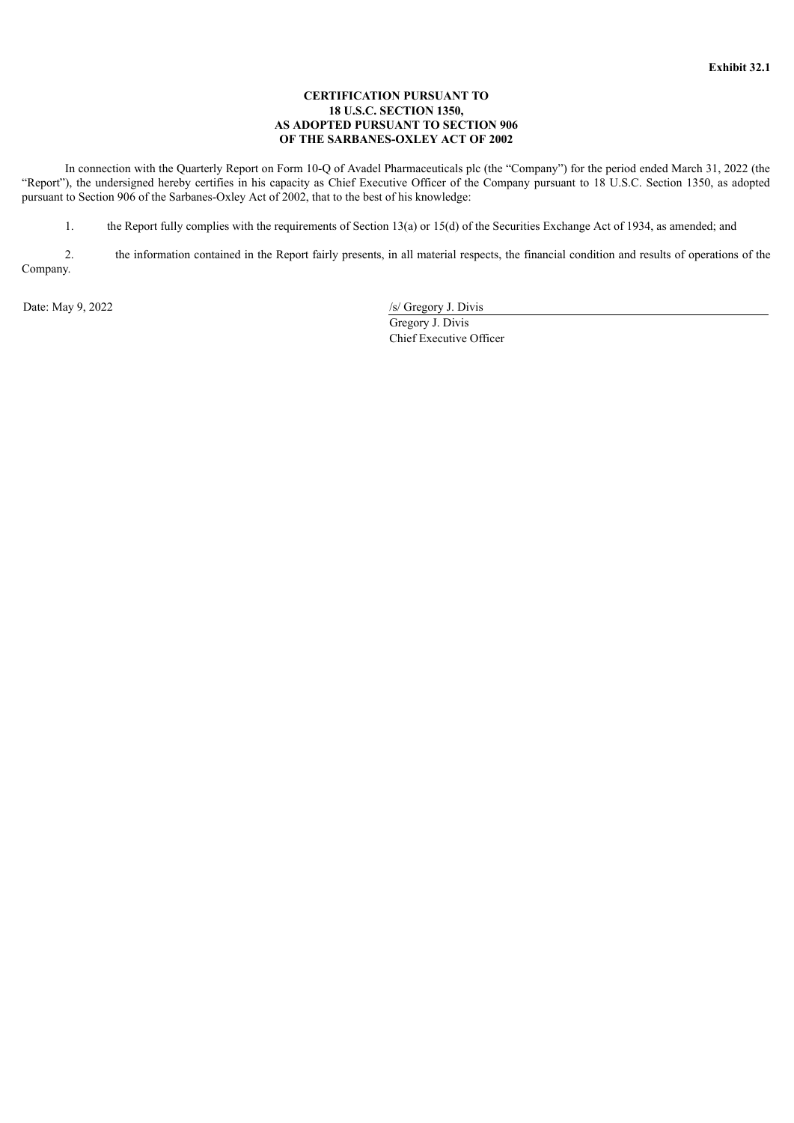### **CERTIFICATION PURSUANT TO 18 U.S.C. SECTION 1350, AS ADOPTED PURSUANT TO SECTION 906 OF THE SARBANES-OXLEY ACT OF 2002**

<span id="page-33-0"></span>In connection with the Quarterly Report on Form 10-Q of Avadel Pharmaceuticals plc (the "Company") for the period ended March 31, 2022 (the "Report"), the undersigned hereby certifies in his capacity as Chief Executive Officer of the Company pursuant to 18 U.S.C. Section 1350, as adopted pursuant to Section 906 of the Sarbanes-Oxley Act of 2002, that to the best of his knowledge:

1. the Report fully complies with the requirements of Section 13(a) or 15(d) of the Securities Exchange Act of 1934, as amended; and

2. the information contained in the Report fairly presents, in all material respects, the financial condition and results of operations of the Company.

Date: May 9, 2022 /s/ Gregory J. Divis Gregory J. Divis Chief Executive Officer